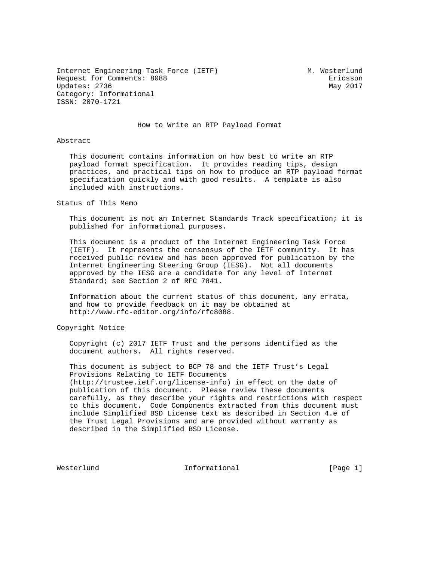Internet Engineering Task Force (IETF) M. Westerlund Request for Comments: 8088 erics and the Ericsson Updates: 2736 May 2017 Category: Informational ISSN: 2070-1721

#### How to Write an RTP Payload Format

Abstract

 This document contains information on how best to write an RTP payload format specification. It provides reading tips, design practices, and practical tips on how to produce an RTP payload format specification quickly and with good results. A template is also included with instructions.

Status of This Memo

 This document is not an Internet Standards Track specification; it is published for informational purposes.

 This document is a product of the Internet Engineering Task Force (IETF). It represents the consensus of the IETF community. It has received public review and has been approved for publication by the Internet Engineering Steering Group (IESG). Not all documents approved by the IESG are a candidate for any level of Internet Standard; see Section 2 of RFC 7841.

 Information about the current status of this document, any errata, and how to provide feedback on it may be obtained at http://www.rfc-editor.org/info/rfc8088.

Copyright Notice

 Copyright (c) 2017 IETF Trust and the persons identified as the document authors. All rights reserved.

 This document is subject to BCP 78 and the IETF Trust's Legal Provisions Relating to IETF Documents (http://trustee.ietf.org/license-info) in effect on the date of publication of this document. Please review these documents carefully, as they describe your rights and restrictions with respect to this document. Code Components extracted from this document must include Simplified BSD License text as described in Section 4.e of the Trust Legal Provisions and are provided without warranty as described in the Simplified BSD License.

Westerlund 1nformational 1996 [Page 1]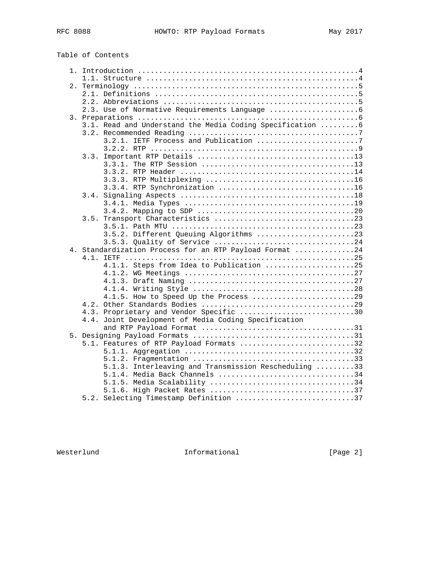| Table of Contents |  |
|-------------------|--|
|-------------------|--|

| 2. |                                                            |  |
|----|------------------------------------------------------------|--|
|    |                                                            |  |
|    |                                                            |  |
|    |                                                            |  |
|    |                                                            |  |
|    | 3.1. Read and Understand the Media Coding Specification  6 |  |
|    |                                                            |  |
|    | 3.2.1. IETF Process and Publication 7                      |  |
|    |                                                            |  |
|    |                                                            |  |
|    |                                                            |  |
|    |                                                            |  |
|    |                                                            |  |
|    |                                                            |  |
|    |                                                            |  |
|    |                                                            |  |
|    |                                                            |  |
|    |                                                            |  |
|    |                                                            |  |
|    |                                                            |  |
|    | 3.5.2. Different Queuing Algorithms 23                     |  |
|    |                                                            |  |
|    | 4. Standardization Process for an RTP Payload Format 24    |  |
|    |                                                            |  |
|    | 4.1.1. Steps from Idea to Publication 25                   |  |
|    |                                                            |  |
|    |                                                            |  |
|    |                                                            |  |
|    |                                                            |  |
|    |                                                            |  |
|    | 4.3. Proprietary and Vendor Specific 30                    |  |
|    | 4.4. Joint Development of Media Coding Specification       |  |
|    |                                                            |  |
|    |                                                            |  |
|    | 5.1. Features of RTP Payload Formats 32                    |  |
|    |                                                            |  |
|    |                                                            |  |
|    | 5.1.3. Interleaving and Transmission Rescheduling 33       |  |
|    | 5.1.4. Media Back Channels 34                              |  |
|    | 5.1.5. Media Scalability 34                                |  |
|    |                                                            |  |
|    | 5.2. Selecting Timestamp Definition 37                     |  |
|    |                                                            |  |

Westerlund 1nformational 1999 [Page 2]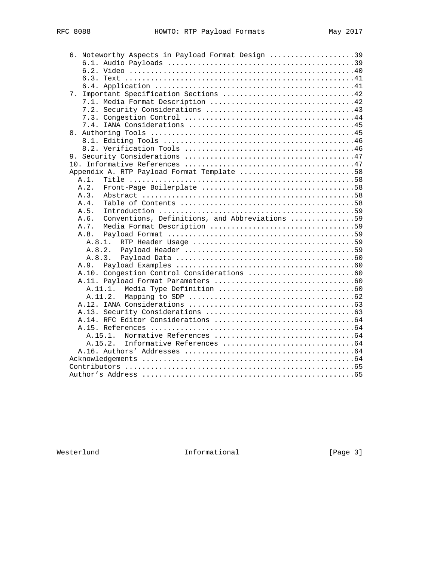| 6. Noteworthy Aspects in Payload Format Design 39      |
|--------------------------------------------------------|
|                                                        |
|                                                        |
|                                                        |
|                                                        |
| 7. Important Specification Sections 42                 |
|                                                        |
|                                                        |
|                                                        |
|                                                        |
|                                                        |
|                                                        |
|                                                        |
|                                                        |
|                                                        |
| Appendix A. RTP Payload Format Template 58             |
| A.1.                                                   |
| A.2.                                                   |
| A.3.                                                   |
| A.4.                                                   |
| A.5.                                                   |
| Conventions, Definitions, and Abbreviations 59<br>A.6. |
| A.7.                                                   |
| A.8.                                                   |
|                                                        |
| A.8.2.                                                 |
| A.8.3.                                                 |
| A.9.                                                   |
|                                                        |
|                                                        |
|                                                        |
| A.11.2.                                                |
|                                                        |
|                                                        |
|                                                        |
|                                                        |
| A.15.1.                                                |
| A.15.2.                                                |
|                                                        |
|                                                        |
|                                                        |
|                                                        |

Westerlund Informational [Page 3]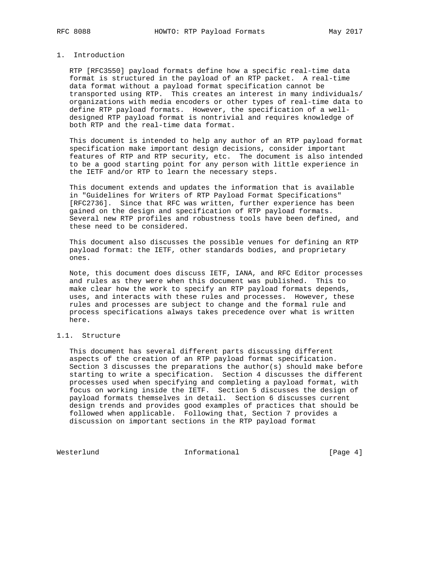## 1. Introduction

 RTP [RFC3550] payload formats define how a specific real-time data format is structured in the payload of an RTP packet. A real-time data format without a payload format specification cannot be transported using RTP. This creates an interest in many individuals/ organizations with media encoders or other types of real-time data to define RTP payload formats. However, the specification of a well designed RTP payload format is nontrivial and requires knowledge of both RTP and the real-time data format.

 This document is intended to help any author of an RTP payload format specification make important design decisions, consider important features of RTP and RTP security, etc. The document is also intended to be a good starting point for any person with little experience in the IETF and/or RTP to learn the necessary steps.

 This document extends and updates the information that is available in "Guidelines for Writers of RTP Payload Format Specifications" [RFC2736]. Since that RFC was written, further experience has been gained on the design and specification of RTP payload formats. Several new RTP profiles and robustness tools have been defined, and these need to be considered.

 This document also discusses the possible venues for defining an RTP payload format: the IETF, other standards bodies, and proprietary ones.

 Note, this document does discuss IETF, IANA, and RFC Editor processes and rules as they were when this document was published. This to make clear how the work to specify an RTP payload formats depends, uses, and interacts with these rules and processes. However, these rules and processes are subject to change and the formal rule and process specifications always takes precedence over what is written here.

## 1.1. Structure

 This document has several different parts discussing different aspects of the creation of an RTP payload format specification. Section 3 discusses the preparations the author(s) should make before starting to write a specification. Section 4 discusses the different processes used when specifying and completing a payload format, with focus on working inside the IETF. Section 5 discusses the design of payload formats themselves in detail. Section 6 discusses current design trends and provides good examples of practices that should be followed when applicable. Following that, Section 7 provides a discussion on important sections in the RTP payload format

Westerlund Informational [Page 4]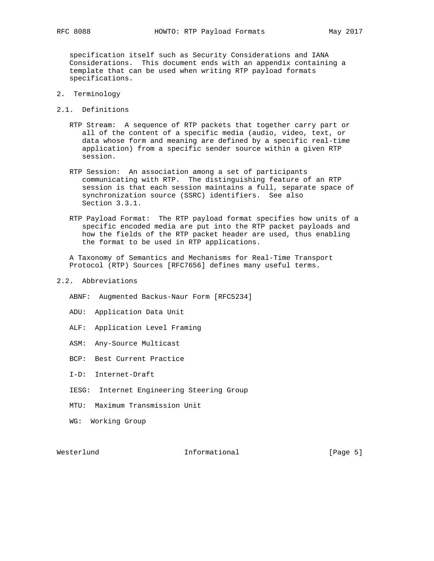specification itself such as Security Considerations and IANA Considerations. This document ends with an appendix containing a template that can be used when writing RTP payload formats specifications.

- 2. Terminology
- 2.1. Definitions
	- RTP Stream: A sequence of RTP packets that together carry part or all of the content of a specific media (audio, video, text, or data whose form and meaning are defined by a specific real-time application) from a specific sender source within a given RTP session.
	- RTP Session: An association among a set of participants communicating with RTP. The distinguishing feature of an RTP session is that each session maintains a full, separate space of synchronization source (SSRC) identifiers. See also Section 3.3.1.
	- RTP Payload Format: The RTP payload format specifies how units of a specific encoded media are put into the RTP packet payloads and how the fields of the RTP packet header are used, thus enabling the format to be used in RTP applications.

 A Taxonomy of Semantics and Mechanisms for Real-Time Transport Protocol (RTP) Sources [RFC7656] defines many useful terms.

- 2.2. Abbreviations
	- ABNF: Augmented Backus-Naur Form [RFC5234]
	- ADU: Application Data Unit
	- ALF: Application Level Framing
	- ASM: Any-Source Multicast
	- BCP: Best Current Practice
	- I-D: Internet-Draft
	- IESG: Internet Engineering Steering Group
	- MTU: Maximum Transmission Unit
	- WG: Working Group

Westerlund 1nformational 1996 [Page 5]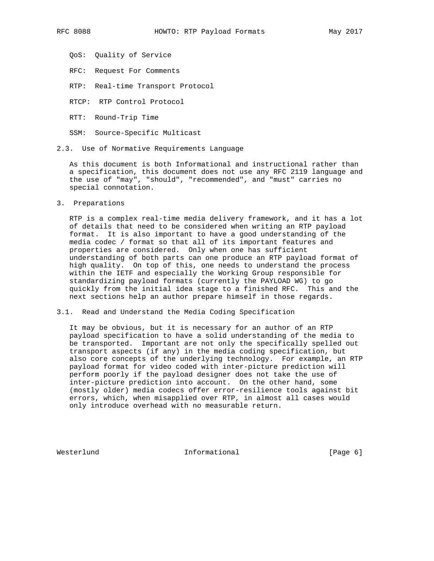QoS: Quality of Service

RFC: Request For Comments

RTP: Real-time Transport Protocol

RTCP: RTP Control Protocol

RTT: Round-Trip Time

SSM: Source-Specific Multicast

2.3. Use of Normative Requirements Language

 As this document is both Informational and instructional rather than a specification, this document does not use any RFC 2119 language and the use of "may", "should", "recommended", and "must" carries no special connotation.

3. Preparations

 RTP is a complex real-time media delivery framework, and it has a lot of details that need to be considered when writing an RTP payload format. It is also important to have a good understanding of the media codec / format so that all of its important features and properties are considered. Only when one has sufficient understanding of both parts can one produce an RTP payload format of high quality. On top of this, one needs to understand the process within the IETF and especially the Working Group responsible for standardizing payload formats (currently the PAYLOAD WG) to go quickly from the initial idea stage to a finished RFC. This and the next sections help an author prepare himself in those regards.

3.1. Read and Understand the Media Coding Specification

 It may be obvious, but it is necessary for an author of an RTP payload specification to have a solid understanding of the media to be transported. Important are not only the specifically spelled out transport aspects (if any) in the media coding specification, but also core concepts of the underlying technology. For example, an RTP payload format for video coded with inter-picture prediction will perform poorly if the payload designer does not take the use of inter-picture prediction into account. On the other hand, some (mostly older) media codecs offer error-resilience tools against bit errors, which, when misapplied over RTP, in almost all cases would only introduce overhead with no measurable return.

Westerlund 1nformational 1992 [Page 6]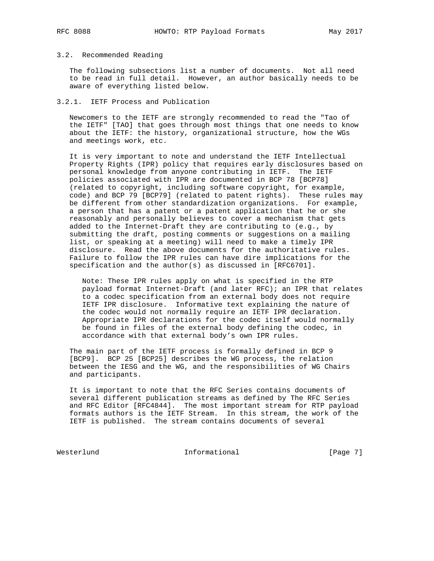#### 3.2. Recommended Reading

 The following subsections list a number of documents. Not all need to be read in full detail. However, an author basically needs to be aware of everything listed below.

#### 3.2.1. IETF Process and Publication

 Newcomers to the IETF are strongly recommended to read the "Tao of the IETF" [TAO] that goes through most things that one needs to know about the IETF: the history, organizational structure, how the WGs and meetings work, etc.

 It is very important to note and understand the IETF Intellectual Property Rights (IPR) policy that requires early disclosures based on personal knowledge from anyone contributing in IETF. The IETF policies associated with IPR are documented in BCP 78 [BCP78] (related to copyright, including software copyright, for example, code) and BCP 79 [BCP79] (related to patent rights). These rules may be different from other standardization organizations. For example, a person that has a patent or a patent application that he or she reasonably and personally believes to cover a mechanism that gets added to the Internet-Draft they are contributing to (e.g., by submitting the draft, posting comments or suggestions on a mailing list, or speaking at a meeting) will need to make a timely IPR disclosure. Read the above documents for the authoritative rules. Failure to follow the IPR rules can have dire implications for the specification and the author(s) as discussed in [RFC6701].

 Note: These IPR rules apply on what is specified in the RTP payload format Internet-Draft (and later RFC); an IPR that relates to a codec specification from an external body does not require IETF IPR disclosure. Informative text explaining the nature of the codec would not normally require an IETF IPR declaration. Appropriate IPR declarations for the codec itself would normally be found in files of the external body defining the codec, in accordance with that external body's own IPR rules.

 The main part of the IETF process is formally defined in BCP 9 [BCP9]. BCP 25 [BCP25] describes the WG process, the relation between the IESG and the WG, and the responsibilities of WG Chairs and participants.

 It is important to note that the RFC Series contains documents of several different publication streams as defined by The RFC Series and RFC Editor [RFC4844]. The most important stream for RTP payload formats authors is the IETF Stream. In this stream, the work of the IETF is published. The stream contains documents of several

Westerlund 1nformational 1999 [Page 7]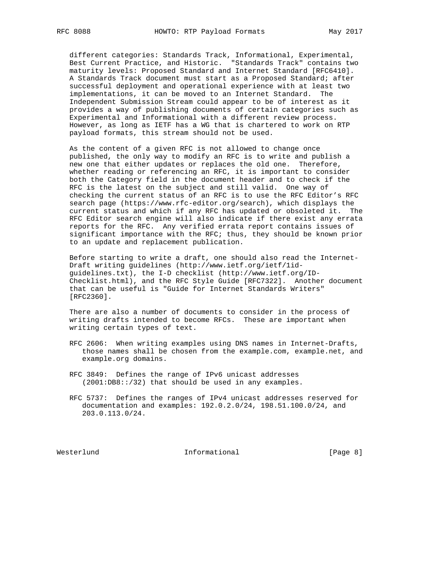different categories: Standards Track, Informational, Experimental, Best Current Practice, and Historic. "Standards Track" contains two maturity levels: Proposed Standard and Internet Standard [RFC6410]. A Standards Track document must start as a Proposed Standard; after successful deployment and operational experience with at least two implementations, it can be moved to an Internet Standard. The Independent Submission Stream could appear to be of interest as it provides a way of publishing documents of certain categories such as Experimental and Informational with a different review process. However, as long as IETF has a WG that is chartered to work on RTP payload formats, this stream should not be used.

 As the content of a given RFC is not allowed to change once published, the only way to modify an RFC is to write and publish a new one that either updates or replaces the old one. Therefore, whether reading or referencing an RFC, it is important to consider both the Category field in the document header and to check if the RFC is the latest on the subject and still valid. One way of checking the current status of an RFC is to use the RFC Editor's RFC search page (https://www.rfc-editor.org/search), which displays the current status and which if any RFC has updated or obsoleted it. The RFC Editor search engine will also indicate if there exist any errata reports for the RFC. Any verified errata report contains issues of significant importance with the RFC; thus, they should be known prior to an update and replacement publication.

 Before starting to write a draft, one should also read the Internet- Draft writing guidelines (http://www.ietf.org/ietf/1id guidelines.txt), the I-D checklist (http://www.ietf.org/ID- Checklist.html), and the RFC Style Guide [RFC7322]. Another document that can be useful is "Guide for Internet Standards Writers" [RFC2360].

 There are also a number of documents to consider in the process of writing drafts intended to become RFCs. These are important when writing certain types of text.

- RFC 2606: When writing examples using DNS names in Internet-Drafts, those names shall be chosen from the example.com, example.net, and example.org domains.
- RFC 3849: Defines the range of IPv6 unicast addresses (2001:DB8::/32) that should be used in any examples.
- RFC 5737: Defines the ranges of IPv4 unicast addresses reserved for documentation and examples: 192.0.2.0/24, 198.51.100.0/24, and 203.0.113.0/24.

Westerlund 1nformational 1992 [Page 8]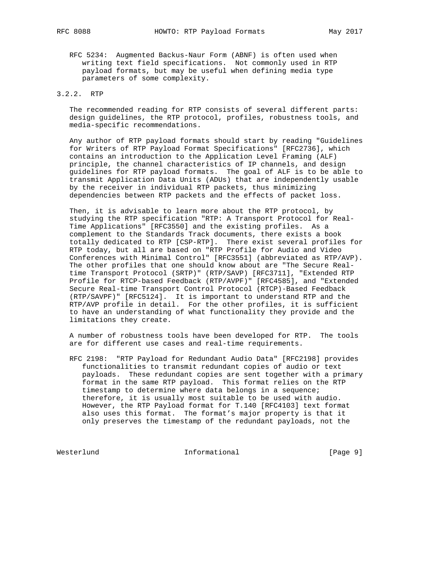- 
- RFC 5234: Augmented Backus-Naur Form (ABNF) is often used when writing text field specifications. Not commonly used in RTP payload formats, but may be useful when defining media type parameters of some complexity.

## 3.2.2. RTP

 The recommended reading for RTP consists of several different parts: design guidelines, the RTP protocol, profiles, robustness tools, and media-specific recommendations.

 Any author of RTP payload formats should start by reading "Guidelines for Writers of RTP Payload Format Specifications" [RFC2736], which contains an introduction to the Application Level Framing (ALF) principle, the channel characteristics of IP channels, and design guidelines for RTP payload formats. The goal of ALF is to be able to transmit Application Data Units (ADUs) that are independently usable by the receiver in individual RTP packets, thus minimizing dependencies between RTP packets and the effects of packet loss.

 Then, it is advisable to learn more about the RTP protocol, by studying the RTP specification "RTP: A Transport Protocol for Real- Time Applications" [RFC3550] and the existing profiles. As a complement to the Standards Track documents, there exists a book totally dedicated to RTP [CSP-RTP]. There exist several profiles for RTP today, but all are based on "RTP Profile for Audio and Video Conferences with Minimal Control" [RFC3551] (abbreviated as RTP/AVP). The other profiles that one should know about are "The Secure Real time Transport Protocol (SRTP)" (RTP/SAVP) [RFC3711], "Extended RTP Profile for RTCP-based Feedback (RTP/AVPF)" [RFC4585], and "Extended Secure Real-time Transport Control Protocol (RTCP)-Based Feedback (RTP/SAVPF)" [RFC5124]. It is important to understand RTP and the RTP/AVP profile in detail. For the other profiles, it is sufficient to have an understanding of what functionality they provide and the limitations they create.

 A number of robustness tools have been developed for RTP. The tools are for different use cases and real-time requirements.

 RFC 2198: "RTP Payload for Redundant Audio Data" [RFC2198] provides functionalities to transmit redundant copies of audio or text payloads. These redundant copies are sent together with a primary format in the same RTP payload. This format relies on the RTP timestamp to determine where data belongs in a sequence; therefore, it is usually most suitable to be used with audio. However, the RTP Payload format for T.140 [RFC4103] text format also uses this format. The format's major property is that it only preserves the timestamp of the redundant payloads, not the

Westerlund Informational [Page 9]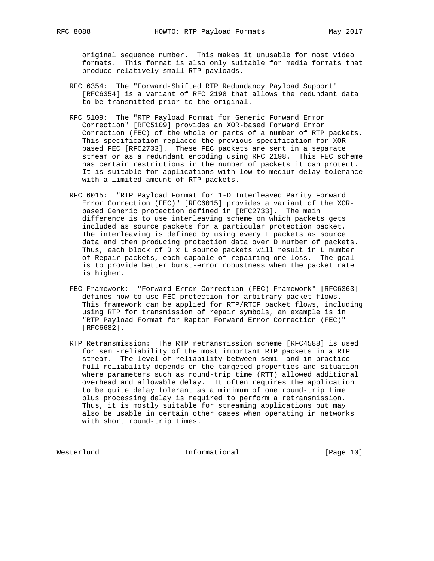original sequence number. This makes it unusable for most video formats. This format is also only suitable for media formats that produce relatively small RTP payloads.

- RFC 6354: The "Forward-Shifted RTP Redundancy Payload Support" [RFC6354] is a variant of RFC 2198 that allows the redundant data to be transmitted prior to the original.
- RFC 5109: The "RTP Payload Format for Generic Forward Error Correction" [RFC5109] provides an XOR-based Forward Error Correction (FEC) of the whole or parts of a number of RTP packets. This specification replaced the previous specification for XOR based FEC [RFC2733]. These FEC packets are sent in a separate stream or as a redundant encoding using RFC 2198. This FEC scheme has certain restrictions in the number of packets it can protect. It is suitable for applications with low-to-medium delay tolerance with a limited amount of RTP packets.
- RFC 6015: "RTP Payload Format for 1-D Interleaved Parity Forward Error Correction (FEC)" [RFC6015] provides a variant of the XOR based Generic protection defined in [RFC2733]. The main difference is to use interleaving scheme on which packets gets included as source packets for a particular protection packet. The interleaving is defined by using every L packets as source data and then producing protection data over D number of packets. Thus, each block of D x L source packets will result in L number of Repair packets, each capable of repairing one loss. The goal is to provide better burst-error robustness when the packet rate is higher.
- FEC Framework: "Forward Error Correction (FEC) Framework" [RFC6363] defines how to use FEC protection for arbitrary packet flows. This framework can be applied for RTP/RTCP packet flows, including using RTP for transmission of repair symbols, an example is in "RTP Payload Format for Raptor Forward Error Correction (FEC)" [RFC6682].
- RTP Retransmission: The RTP retransmission scheme [RFC4588] is used for semi-reliability of the most important RTP packets in a RTP stream. The level of reliability between semi- and in-practice full reliability depends on the targeted properties and situation where parameters such as round-trip time (RTT) allowed additional overhead and allowable delay. It often requires the application to be quite delay tolerant as a minimum of one round-trip time plus processing delay is required to perform a retransmission. Thus, it is mostly suitable for streaming applications but may also be usable in certain other cases when operating in networks with short round-trip times.

Westerlund Informational [Page 10]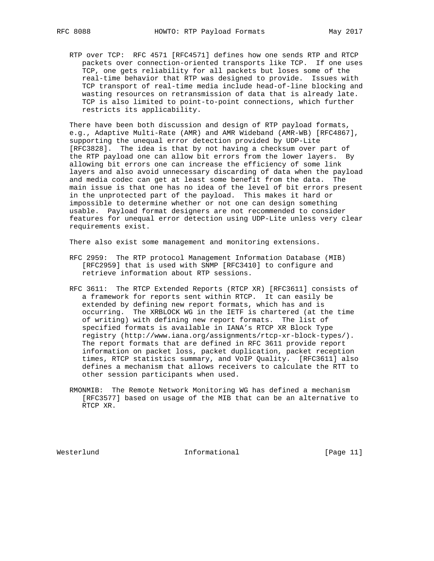- - RTP over TCP: RFC 4571 [RFC4571] defines how one sends RTP and RTCP packets over connection-oriented transports like TCP. If one uses TCP, one gets reliability for all packets but loses some of the real-time behavior that RTP was designed to provide. Issues with TCP transport of real-time media include head-of-line blocking and wasting resources on retransmission of data that is already late. TCP is also limited to point-to-point connections, which further restricts its applicability.

 There have been both discussion and design of RTP payload formats, e.g., Adaptive Multi-Rate (AMR) and AMR Wideband (AMR-WB) [RFC4867], supporting the unequal error detection provided by UDP-Lite [RFC3828]. The idea is that by not having a checksum over part of the RTP payload one can allow bit errors from the lower layers. By allowing bit errors one can increase the efficiency of some link layers and also avoid unnecessary discarding of data when the payload and media codec can get at least some benefit from the data. The main issue is that one has no idea of the level of bit errors present in the unprotected part of the payload. This makes it hard or impossible to determine whether or not one can design something usable. Payload format designers are not recommended to consider features for unequal error detection using UDP-Lite unless very clear requirements exist.

There also exist some management and monitoring extensions.

- RFC 2959: The RTP protocol Management Information Database (MIB) [RFC2959] that is used with SNMP [RFC3410] to configure and retrieve information about RTP sessions.
- RFC 3611: The RTCP Extended Reports (RTCP XR) [RFC3611] consists of a framework for reports sent within RTCP. It can easily be extended by defining new report formats, which has and is occurring. The XRBLOCK WG in the IETF is chartered (at the time of writing) with defining new report formats. The list of specified formats is available in IANA's RTCP XR Block Type registry (http://www.iana.org/assignments/rtcp-xr-block-types/). The report formats that are defined in RFC 3611 provide report information on packet loss, packet duplication, packet reception times, RTCP statistics summary, and VoIP Quality. [RFC3611] also defines a mechanism that allows receivers to calculate the RTT to other session participants when used.
- RMONMIB: The Remote Network Monitoring WG has defined a mechanism [RFC3577] based on usage of the MIB that can be an alternative to RTCP XR.

Westerlund Informational [Page 11]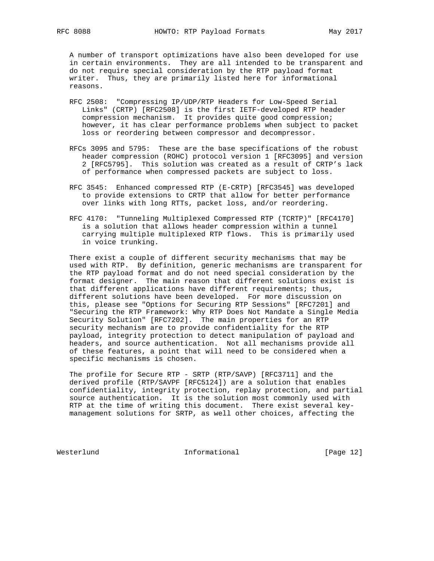A number of transport optimizations have also been developed for use in certain environments. They are all intended to be transparent and do not require special consideration by the RTP payload format writer. Thus, they are primarily listed here for informational reasons.

- RFC 2508: "Compressing IP/UDP/RTP Headers for Low-Speed Serial Links" (CRTP) [RFC2508] is the first IETF-developed RTP header compression mechanism. It provides quite good compression; however, it has clear performance problems when subject to packet loss or reordering between compressor and decompressor.
- RFCs 3095 and 5795: These are the base specifications of the robust header compression (ROHC) protocol version 1 [RFC3095] and version 2 [RFC5795]. This solution was created as a result of CRTP's lack of performance when compressed packets are subject to loss.
- RFC 3545: Enhanced compressed RTP (E-CRTP) [RFC3545] was developed to provide extensions to CRTP that allow for better performance over links with long RTTs, packet loss, and/or reordering.
- RFC 4170: "Tunneling Multiplexed Compressed RTP (TCRTP)" [RFC4170] is a solution that allows header compression within a tunnel carrying multiple multiplexed RTP flows. This is primarily used in voice trunking.

 There exist a couple of different security mechanisms that may be used with RTP. By definition, generic mechanisms are transparent for the RTP payload format and do not need special consideration by the format designer. The main reason that different solutions exist is that different applications have different requirements; thus, different solutions have been developed. For more discussion on this, please see "Options for Securing RTP Sessions" [RFC7201] and "Securing the RTP Framework: Why RTP Does Not Mandate a Single Media Security Solution" [RFC7202]. The main properties for an RTP security mechanism are to provide confidentiality for the RTP payload, integrity protection to detect manipulation of payload and headers, and source authentication. Not all mechanisms provide all of these features, a point that will need to be considered when a specific mechanisms is chosen.

 The profile for Secure RTP - SRTP (RTP/SAVP) [RFC3711] and the derived profile (RTP/SAVPF [RFC5124]) are a solution that enables confidentiality, integrity protection, replay protection, and partial source authentication. It is the solution most commonly used with RTP at the time of writing this document. There exist several key management solutions for SRTP, as well other choices, affecting the

Westerlund Informational [Page 12]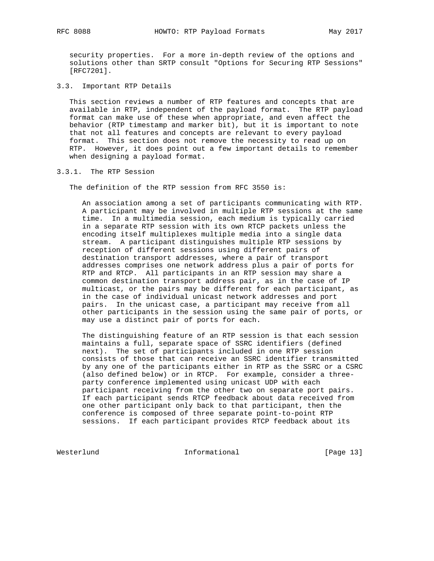security properties. For a more in-depth review of the options and solutions other than SRTP consult "Options for Securing RTP Sessions" [RFC7201].

3.3. Important RTP Details

 This section reviews a number of RTP features and concepts that are available in RTP, independent of the payload format. The RTP payload format can make use of these when appropriate, and even affect the behavior (RTP timestamp and marker bit), but it is important to note that not all features and concepts are relevant to every payload format. This section does not remove the necessity to read up on RTP. However, it does point out a few important details to remember when designing a payload format.

#### 3.3.1. The RTP Session

The definition of the RTP session from RFC 3550 is:

 An association among a set of participants communicating with RTP. A participant may be involved in multiple RTP sessions at the same time. In a multimedia session, each medium is typically carried in a separate RTP session with its own RTCP packets unless the encoding itself multiplexes multiple media into a single data stream. A participant distinguishes multiple RTP sessions by reception of different sessions using different pairs of destination transport addresses, where a pair of transport addresses comprises one network address plus a pair of ports for RTP and RTCP. All participants in an RTP session may share a common destination transport address pair, as in the case of IP multicast, or the pairs may be different for each participant, as in the case of individual unicast network addresses and port pairs. In the unicast case, a participant may receive from all other participants in the session using the same pair of ports, or may use a distinct pair of ports for each.

 The distinguishing feature of an RTP session is that each session maintains a full, separate space of SSRC identifiers (defined next). The set of participants included in one RTP session consists of those that can receive an SSRC identifier transmitted by any one of the participants either in RTP as the SSRC or a CSRC (also defined below) or in RTCP. For example, consider a three party conference implemented using unicast UDP with each participant receiving from the other two on separate port pairs. If each participant sends RTCP feedback about data received from one other participant only back to that participant, then the conference is composed of three separate point-to-point RTP sessions. If each participant provides RTCP feedback about its

Westerlund Informational [Page 13]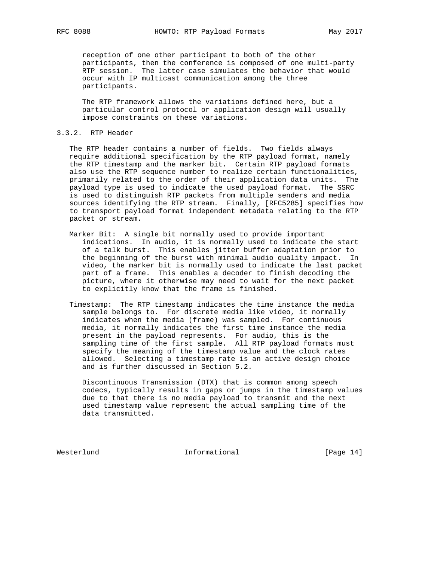reception of one other participant to both of the other participants, then the conference is composed of one multi-party RTP session. The latter case simulates the behavior that would occur with IP multicast communication among the three participants.

 The RTP framework allows the variations defined here, but a particular control protocol or application design will usually impose constraints on these variations.

## 3.3.2. RTP Header

 The RTP header contains a number of fields. Two fields always require additional specification by the RTP payload format, namely the RTP timestamp and the marker bit. Certain RTP payload formats also use the RTP sequence number to realize certain functionalities, primarily related to the order of their application data units. The payload type is used to indicate the used payload format. The SSRC is used to distinguish RTP packets from multiple senders and media sources identifying the RTP stream. Finally, [RFC5285] specifies how to transport payload format independent metadata relating to the RTP packet or stream.

- Marker Bit: A single bit normally used to provide important indications. In audio, it is normally used to indicate the start of a talk burst. This enables jitter buffer adaptation prior to the beginning of the burst with minimal audio quality impact. In video, the marker bit is normally used to indicate the last packet part of a frame. This enables a decoder to finish decoding the picture, where it otherwise may need to wait for the next packet to explicitly know that the frame is finished.
	- Timestamp: The RTP timestamp indicates the time instance the media sample belongs to. For discrete media like video, it normally indicates when the media (frame) was sampled. For continuous media, it normally indicates the first time instance the media present in the payload represents. For audio, this is the sampling time of the first sample. All RTP payload formats must specify the meaning of the timestamp value and the clock rates allowed. Selecting a timestamp rate is an active design choice and is further discussed in Section 5.2.

 Discontinuous Transmission (DTX) that is common among speech codecs, typically results in gaps or jumps in the timestamp values due to that there is no media payload to transmit and the next used timestamp value represent the actual sampling time of the data transmitted.

Westerlund Informational [Page 14]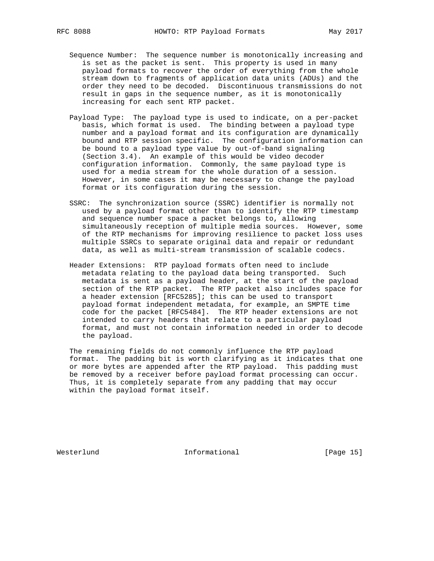- Sequence Number: The sequence number is monotonically increasing and is set as the packet is sent. This property is used in many payload formats to recover the order of everything from the whole stream down to fragments of application data units (ADUs) and the order they need to be decoded. Discontinuous transmissions do not result in gaps in the sequence number, as it is monotonically increasing for each sent RTP packet.
- Payload Type: The payload type is used to indicate, on a per-packet basis, which format is used. The binding between a payload type number and a payload format and its configuration are dynamically bound and RTP session specific. The configuration information can be bound to a payload type value by out-of-band signaling (Section 3.4). An example of this would be video decoder configuration information. Commonly, the same payload type is used for a media stream for the whole duration of a session. However, in some cases it may be necessary to change the payload format or its configuration during the session.
- SSRC: The synchronization source (SSRC) identifier is normally not used by a payload format other than to identify the RTP timestamp and sequence number space a packet belongs to, allowing simultaneously reception of multiple media sources. However, some of the RTP mechanisms for improving resilience to packet loss uses multiple SSRCs to separate original data and repair or redundant data, as well as multi-stream transmission of scalable codecs.
- Header Extensions: RTP payload formats often need to include metadata relating to the payload data being transported. Such metadata is sent as a payload header, at the start of the payload section of the RTP packet. The RTP packet also includes space for a header extension [RFC5285]; this can be used to transport payload format independent metadata, for example, an SMPTE time code for the packet [RFC5484]. The RTP header extensions are not intended to carry headers that relate to a particular payload format, and must not contain information needed in order to decode the payload.

 The remaining fields do not commonly influence the RTP payload format. The padding bit is worth clarifying as it indicates that one or more bytes are appended after the RTP payload. This padding must be removed by a receiver before payload format processing can occur. Thus, it is completely separate from any padding that may occur within the payload format itself.

Westerlund Informational [Page 15]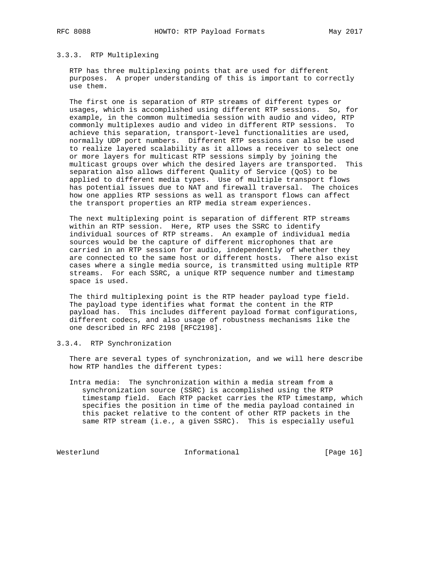## 3.3.3. RTP Multiplexing

 RTP has three multiplexing points that are used for different purposes. A proper understanding of this is important to correctly use them.

 The first one is separation of RTP streams of different types or usages, which is accomplished using different RTP sessions. So, for example, in the common multimedia session with audio and video, RTP commonly multiplexes audio and video in different RTP sessions. To achieve this separation, transport-level functionalities are used, normally UDP port numbers. Different RTP sessions can also be used to realize layered scalability as it allows a receiver to select one or more layers for multicast RTP sessions simply by joining the multicast groups over which the desired layers are transported. This separation also allows different Quality of Service (QoS) to be applied to different media types. Use of multiple transport flows has potential issues due to NAT and firewall traversal. The choices how one applies RTP sessions as well as transport flows can affect the transport properties an RTP media stream experiences.

 The next multiplexing point is separation of different RTP streams within an RTP session. Here, RTP uses the SSRC to identify individual sources of RTP streams. An example of individual media sources would be the capture of different microphones that are carried in an RTP session for audio, independently of whether they are connected to the same host or different hosts. There also exist cases where a single media source, is transmitted using multiple RTP streams. For each SSRC, a unique RTP sequence number and timestamp space is used.

 The third multiplexing point is the RTP header payload type field. The payload type identifies what format the content in the RTP payload has. This includes different payload format configurations, different codecs, and also usage of robustness mechanisms like the one described in RFC 2198 [RFC2198].

## 3.3.4. RTP Synchronization

 There are several types of synchronization, and we will here describe how RTP handles the different types:

 Intra media: The synchronization within a media stream from a synchronization source (SSRC) is accomplished using the RTP timestamp field. Each RTP packet carries the RTP timestamp, which specifies the position in time of the media payload contained in this packet relative to the content of other RTP packets in the same RTP stream (i.e., a given SSRC). This is especially useful

Westerlund Informational [Page 16]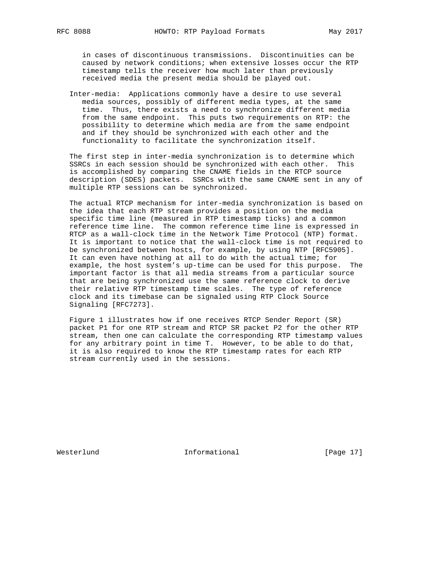in cases of discontinuous transmissions. Discontinuities can be caused by network conditions; when extensive losses occur the RTP timestamp tells the receiver how much later than previously received media the present media should be played out.

 Inter-media: Applications commonly have a desire to use several media sources, possibly of different media types, at the same time. Thus, there exists a need to synchronize different media from the same endpoint. This puts two requirements on RTP: the possibility to determine which media are from the same endpoint and if they should be synchronized with each other and the functionality to facilitate the synchronization itself.

 The first step in inter-media synchronization is to determine which SSRCs in each session should be synchronized with each other. This is accomplished by comparing the CNAME fields in the RTCP source description (SDES) packets. SSRCs with the same CNAME sent in any of multiple RTP sessions can be synchronized.

 The actual RTCP mechanism for inter-media synchronization is based on the idea that each RTP stream provides a position on the media specific time line (measured in RTP timestamp ticks) and a common reference time line. The common reference time line is expressed in RTCP as a wall-clock time in the Network Time Protocol (NTP) format. It is important to notice that the wall-clock time is not required to be synchronized between hosts, for example, by using NTP [RFC5905]. It can even have nothing at all to do with the actual time; for example, the host system's up-time can be used for this purpose. The important factor is that all media streams from a particular source that are being synchronized use the same reference clock to derive their relative RTP timestamp time scales. The type of reference clock and its timebase can be signaled using RTP Clock Source Signaling [RFC7273].

 Figure 1 illustrates how if one receives RTCP Sender Report (SR) packet P1 for one RTP stream and RTCP SR packet P2 for the other RTP stream, then one can calculate the corresponding RTP timestamp values for any arbitrary point in time T. However, to be able to do that, it is also required to know the RTP timestamp rates for each RTP stream currently used in the sessions.

Westerlund Informational [Page 17]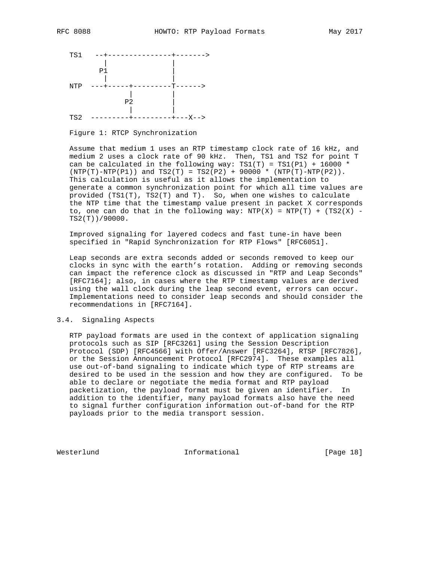

Figure 1: RTCP Synchronization

 Assume that medium 1 uses an RTP timestamp clock rate of 16 kHz, and medium 2 uses a clock rate of 90 kHz. Then, TS1 and TS2 for point T can be calculated in the following way:  $TS1(T) = TS1(PI) + 16000 *$  $(NTP(T)-NTP(P1))$  and  $TS2(T) = TS2(P2) + 90000 * (NTP(T)-NTP(P2))$ . This calculation is useful as it allows the implementation to generate a common synchronization point for which all time values are provided (TS1(T), TS2(T) and T). So, when one wishes to calculate the NTP time that the timestamp value present in packet X corresponds to, one can do that in the following way:  $NTP(X) = NTP(T) + (TS2(X) -$ TS2(T))/90000.

 Improved signaling for layered codecs and fast tune-in have been specified in "Rapid Synchronization for RTP Flows" [RFC6051].

 Leap seconds are extra seconds added or seconds removed to keep our clocks in sync with the earth's rotation. Adding or removing seconds can impact the reference clock as discussed in "RTP and Leap Seconds" [RFC7164]; also, in cases where the RTP timestamp values are derived using the wall clock during the leap second event, errors can occur. Implementations need to consider leap seconds and should consider the recommendations in [RFC7164].

## 3.4. Signaling Aspects

 RTP payload formats are used in the context of application signaling protocols such as SIP [RFC3261] using the Session Description Protocol (SDP) [RFC4566] with Offer/Answer [RFC3264], RTSP [RFC7826], or the Session Announcement Protocol [RFC2974]. These examples all use out-of-band signaling to indicate which type of RTP streams are desired to be used in the session and how they are configured. To be able to declare or negotiate the media format and RTP payload packetization, the payload format must be given an identifier. In addition to the identifier, many payload formats also have the need to signal further configuration information out-of-band for the RTP payloads prior to the media transport session.

Westerlund Informational [Page 18]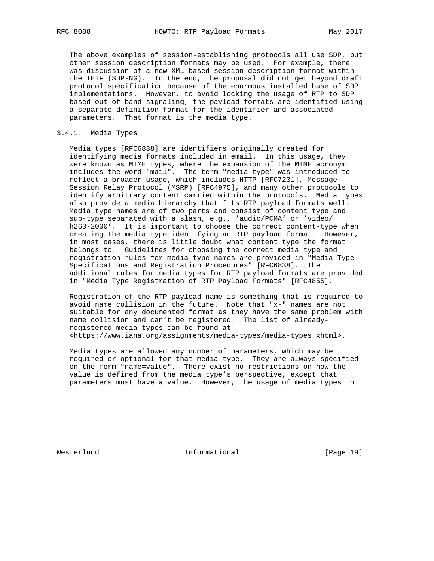The above examples of session-establishing protocols all use SDP, but other session description formats may be used. For example, there was discussion of a new XML-based session description format within the IETF (SDP-NG). In the end, the proposal did not get beyond draft protocol specification because of the enormous installed base of SDP implementations. However, to avoid locking the usage of RTP to SDP based out-of-band signaling, the payload formats are identified using a separate definition format for the identifier and associated parameters. That format is the media type.

### 3.4.1. Media Types

 Media types [RFC6838] are identifiers originally created for identifying media formats included in email. In this usage, they were known as MIME types, where the expansion of the MIME acronym includes the word "mail". The term "media type" was introduced to reflect a broader usage, which includes HTTP [RFC7231], Message Session Relay Protocol (MSRP) [RFC4975], and many other protocols to identify arbitrary content carried within the protocols. Media types also provide a media hierarchy that fits RTP payload formats well. Media type names are of two parts and consist of content type and sub-type separated with a slash, e.g., 'audio/PCMA' or 'video/ h263-2000'. It is important to choose the correct content-type when creating the media type identifying an RTP payload format. However, in most cases, there is little doubt what content type the format belongs to. Guidelines for choosing the correct media type and registration rules for media type names are provided in "Media Type Specifications and Registration Procedures" [RFC6838]. The additional rules for media types for RTP payload formats are provided in "Media Type Registration of RTP Payload Formats" [RFC4855].

 Registration of the RTP payload name is something that is required to avoid name collision in the future. Note that "x-" names are not suitable for any documented format as they have the same problem with name collision and can't be registered. The list of already registered media types can be found at <https://www.iana.org/assignments/media-types/media-types.xhtml>.

 Media types are allowed any number of parameters, which may be required or optional for that media type. They are always specified on the form "name=value". There exist no restrictions on how the value is defined from the media type's perspective, except that parameters must have a value. However, the usage of media types in

Westerlund Informational [Page 19]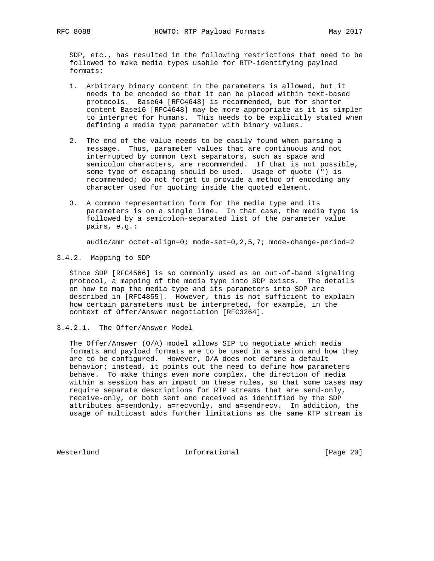SDP, etc., has resulted in the following restrictions that need to be followed to make media types usable for RTP-identifying payload formats:

- 1. Arbitrary binary content in the parameters is allowed, but it needs to be encoded so that it can be placed within text-based protocols. Base64 [RFC4648] is recommended, but for shorter content Base16 [RFC4648] may be more appropriate as it is simpler to interpret for humans. This needs to be explicitly stated when defining a media type parameter with binary values.
- 2. The end of the value needs to be easily found when parsing a message. Thus, parameter values that are continuous and not interrupted by common text separators, such as space and semicolon characters, are recommended. If that is not possible, some type of escaping should be used. Usage of quote (") is recommended; do not forget to provide a method of encoding any character used for quoting inside the quoted element.
	- 3. A common representation form for the media type and its parameters is on a single line. In that case, the media type is followed by a semicolon-separated list of the parameter value pairs, e.g.:

audio/amr octet-align=0; mode-set=0,2,5,7; mode-change-period=2

# 3.4.2. Mapping to SDP

 Since SDP [RFC4566] is so commonly used as an out-of-band signaling protocol, a mapping of the media type into SDP exists. The details on how to map the media type and its parameters into SDP are described in [RFC4855]. However, this is not sufficient to explain how certain parameters must be interpreted, for example, in the context of Offer/Answer negotiation [RFC3264].

3.4.2.1. The Offer/Answer Model

 The Offer/Answer (O/A) model allows SIP to negotiate which media formats and payload formats are to be used in a session and how they are to be configured. However, O/A does not define a default behavior; instead, it points out the need to define how parameters behave. To make things even more complex, the direction of media within a session has an impact on these rules, so that some cases may require separate descriptions for RTP streams that are send-only, receive-only, or both sent and received as identified by the SDP attributes a=sendonly, a=recvonly, and a=sendrecv. In addition, the usage of multicast adds further limitations as the same RTP stream is

Westerlund Informational [Page 20]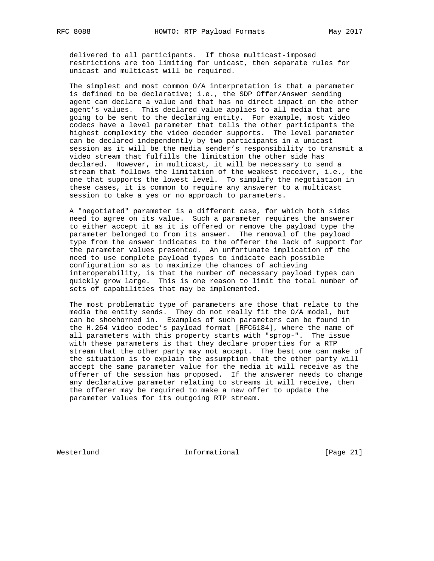delivered to all participants. If those multicast-imposed restrictions are too limiting for unicast, then separate rules for

unicast and multicast will be required.

 The simplest and most common O/A interpretation is that a parameter is defined to be declarative; i.e., the SDP Offer/Answer sending agent can declare a value and that has no direct impact on the other agent's values. This declared value applies to all media that are going to be sent to the declaring entity. For example, most video codecs have a level parameter that tells the other participants the highest complexity the video decoder supports. The level parameter can be declared independently by two participants in a unicast session as it will be the media sender's responsibility to transmit a video stream that fulfills the limitation the other side has declared. However, in multicast, it will be necessary to send a stream that follows the limitation of the weakest receiver, i.e., the one that supports the lowest level. To simplify the negotiation in these cases, it is common to require any answerer to a multicast session to take a yes or no approach to parameters.

 A "negotiated" parameter is a different case, for which both sides need to agree on its value. Such a parameter requires the answerer to either accept it as it is offered or remove the payload type the parameter belonged to from its answer. The removal of the payload type from the answer indicates to the offerer the lack of support for the parameter values presented. An unfortunate implication of the need to use complete payload types to indicate each possible configuration so as to maximize the chances of achieving interoperability, is that the number of necessary payload types can quickly grow large. This is one reason to limit the total number of sets of capabilities that may be implemented.

 The most problematic type of parameters are those that relate to the media the entity sends. They do not really fit the O/A model, but can be shoehorned in. Examples of such parameters can be found in the H.264 video codec's payload format [RFC6184], where the name of all parameters with this property starts with "sprop-". The issue with these parameters is that they declare properties for a RTP stream that the other party may not accept. The best one can make of the situation is to explain the assumption that the other party will accept the same parameter value for the media it will receive as the offerer of the session has proposed. If the answerer needs to change any declarative parameter relating to streams it will receive, then the offerer may be required to make a new offer to update the parameter values for its outgoing RTP stream.

Westerlund Informational [Page 21]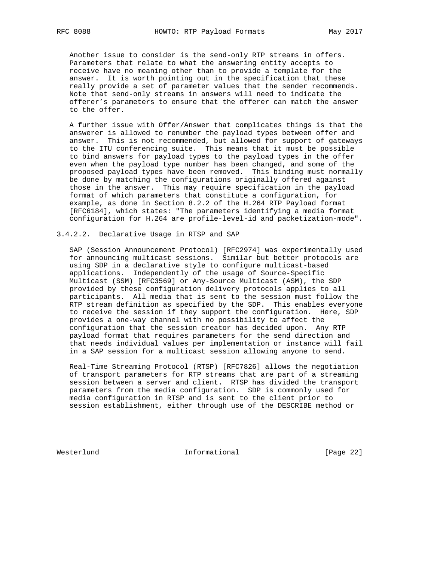Another issue to consider is the send-only RTP streams in offers. Parameters that relate to what the answering entity accepts to receive have no meaning other than to provide a template for the answer. It is worth pointing out in the specification that these really provide a set of parameter values that the sender recommends. Note that send-only streams in answers will need to indicate the offerer's parameters to ensure that the offerer can match the answer to the offer.

 A further issue with Offer/Answer that complicates things is that the answerer is allowed to renumber the payload types between offer and answer. This is not recommended, but allowed for support of gateways to the ITU conferencing suite. This means that it must be possible to bind answers for payload types to the payload types in the offer even when the payload type number has been changed, and some of the proposed payload types have been removed. This binding must normally be done by matching the configurations originally offered against those in the answer. This may require specification in the payload format of which parameters that constitute a configuration, for example, as done in Section 8.2.2 of the H.264 RTP Payload format [RFC6184], which states: "The parameters identifying a media format configuration for H.264 are profile-level-id and packetization-mode".

### 3.4.2.2. Declarative Usage in RTSP and SAP

 SAP (Session Announcement Protocol) [RFC2974] was experimentally used for announcing multicast sessions. Similar but better protocols are using SDP in a declarative style to configure multicast-based applications. Independently of the usage of Source-Specific Multicast (SSM) [RFC3569] or Any-Source Multicast (ASM), the SDP provided by these configuration delivery protocols applies to all participants. All media that is sent to the session must follow the RTP stream definition as specified by the SDP. This enables everyone to receive the session if they support the configuration. Here, SDP provides a one-way channel with no possibility to affect the configuration that the session creator has decided upon. Any RTP payload format that requires parameters for the send direction and that needs individual values per implementation or instance will fail in a SAP session for a multicast session allowing anyone to send.

 Real-Time Streaming Protocol (RTSP) [RFC7826] allows the negotiation of transport parameters for RTP streams that are part of a streaming session between a server and client. RTSP has divided the transport parameters from the media configuration. SDP is commonly used for media configuration in RTSP and is sent to the client prior to session establishment, either through use of the DESCRIBE method or

Westerlund 1nformational [Page 22]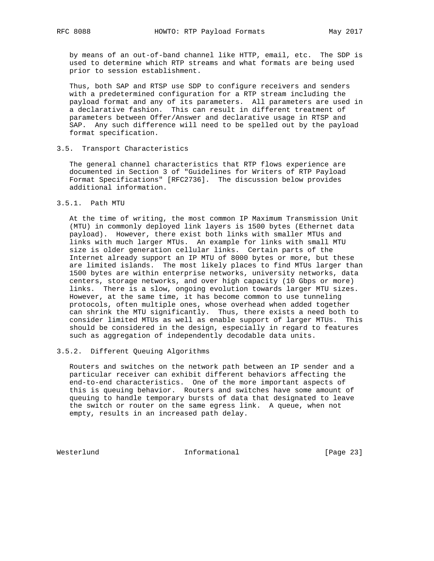by means of an out-of-band channel like HTTP, email, etc. The SDP is used to determine which RTP streams and what formats are being used prior to session establishment.

 Thus, both SAP and RTSP use SDP to configure receivers and senders with a predetermined configuration for a RTP stream including the payload format and any of its parameters. All parameters are used in a declarative fashion. This can result in different treatment of parameters between Offer/Answer and declarative usage in RTSP and SAP. Any such difference will need to be spelled out by the payload format specification.

## 3.5. Transport Characteristics

 The general channel characteristics that RTP flows experience are documented in Section 3 of "Guidelines for Writers of RTP Payload Format Specifications" [RFC2736]. The discussion below provides additional information.

3.5.1. Path MTU

 At the time of writing, the most common IP Maximum Transmission Unit (MTU) in commonly deployed link layers is 1500 bytes (Ethernet data payload). However, there exist both links with smaller MTUs and links with much larger MTUs. An example for links with small MTU size is older generation cellular links. Certain parts of the Internet already support an IP MTU of 8000 bytes or more, but these are limited islands. The most likely places to find MTUs larger than 1500 bytes are within enterprise networks, university networks, data centers, storage networks, and over high capacity (10 Gbps or more) links. There is a slow, ongoing evolution towards larger MTU sizes. However, at the same time, it has become common to use tunneling protocols, often multiple ones, whose overhead when added together can shrink the MTU significantly. Thus, there exists a need both to consider limited MTUs as well as enable support of larger MTUs. This should be considered in the design, especially in regard to features such as aggregation of independently decodable data units.

### 3.5.2. Different Queuing Algorithms

 Routers and switches on the network path between an IP sender and a particular receiver can exhibit different behaviors affecting the end-to-end characteristics. One of the more important aspects of this is queuing behavior. Routers and switches have some amount of queuing to handle temporary bursts of data that designated to leave the switch or router on the same egress link. A queue, when not empty, results in an increased path delay.

Westerlund Informational [Page 23]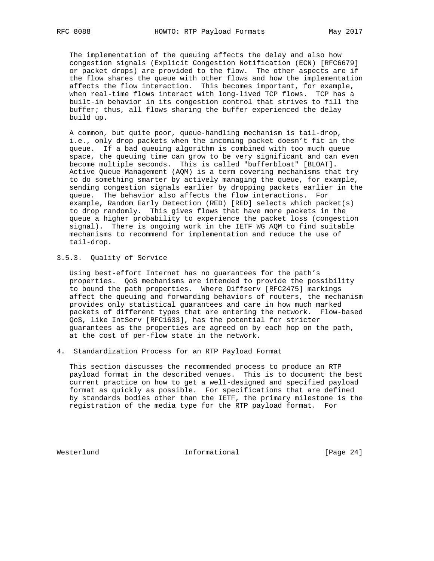The implementation of the queuing affects the delay and also how congestion signals (Explicit Congestion Notification (ECN) [RFC6679] or packet drops) are provided to the flow. The other aspects are if the flow shares the queue with other flows and how the implementation affects the flow interaction. This becomes important, for example, when real-time flows interact with long-lived TCP flows. TCP has a built-in behavior in its congestion control that strives to fill the buffer; thus, all flows sharing the buffer experienced the delay build up.

 A common, but quite poor, queue-handling mechanism is tail-drop, i.e., only drop packets when the incoming packet doesn't fit in the queue. If a bad queuing algorithm is combined with too much queue space, the queuing time can grow to be very significant and can even become multiple seconds. This is called "bufferbloat" [BLOAT]. Active Queue Management (AQM) is a term covering mechanisms that try to do something smarter by actively managing the queue, for example, sending congestion signals earlier by dropping packets earlier in the queue. The behavior also affects the flow interactions. For example, Random Early Detection (RED) [RED] selects which packet(s) to drop randomly. This gives flows that have more packets in the queue a higher probability to experience the packet loss (congestion signal). There is ongoing work in the IETF WG AQM to find suitable mechanisms to recommend for implementation and reduce the use of tail-drop.

### 3.5.3. Quality of Service

 Using best-effort Internet has no guarantees for the path's properties. QoS mechanisms are intended to provide the possibility to bound the path properties. Where Diffserv [RFC2475] markings affect the queuing and forwarding behaviors of routers, the mechanism provides only statistical guarantees and care in how much marked packets of different types that are entering the network. Flow-based QoS, like IntServ [RFC1633], has the potential for stricter guarantees as the properties are agreed on by each hop on the path, at the cost of per-flow state in the network.

4. Standardization Process for an RTP Payload Format

 This section discusses the recommended process to produce an RTP payload format in the described venues. This is to document the best current practice on how to get a well-designed and specified payload format as quickly as possible. For specifications that are defined by standards bodies other than the IETF, the primary milestone is the registration of the media type for the RTP payload format. For

Westerlund Informational [Page 24]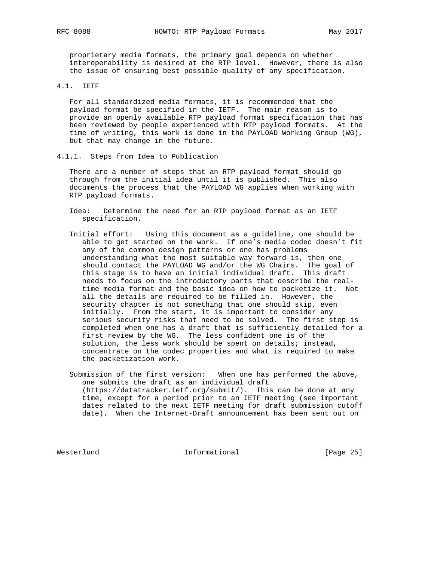proprietary media formats, the primary goal depends on whether interoperability is desired at the RTP level. However, there is also the issue of ensuring best possible quality of any specification.

4.1. IETF

 For all standardized media formats, it is recommended that the payload format be specified in the IETF. The main reason is to provide an openly available RTP payload format specification that has been reviewed by people experienced with RTP payload formats. At the time of writing, this work is done in the PAYLOAD Working Group (WG), but that may change in the future.

4.1.1. Steps from Idea to Publication

 There are a number of steps that an RTP payload format should go through from the initial idea until it is published. This also documents the process that the PAYLOAD WG applies when working with RTP payload formats.

- Idea: Determine the need for an RTP payload format as an IETF specification.
- Initial effort: Using this document as a guideline, one should be able to get started on the work. If one's media codec doesn't fit any of the common design patterns or one has problems understanding what the most suitable way forward is, then one should contact the PAYLOAD WG and/or the WG Chairs. The goal of this stage is to have an initial individual draft. This draft needs to focus on the introductory parts that describe the real time media format and the basic idea on how to packetize it. Not all the details are required to be filled in. However, the security chapter is not something that one should skip, even initially. From the start, it is important to consider any serious security risks that need to be solved. The first step is completed when one has a draft that is sufficiently detailed for a first review by the WG. The less confident one is of the solution, the less work should be spent on details; instead, concentrate on the codec properties and what is required to make the packetization work.

 Submission of the first version: When one has performed the above, one submits the draft as an individual draft (https://datatracker.ietf.org/submit/). This can be done at any time, except for a period prior to an IETF meeting (see important dates related to the next IETF meeting for draft submission cutoff date). When the Internet-Draft announcement has been sent out on

Westerlund Informational [Page 25]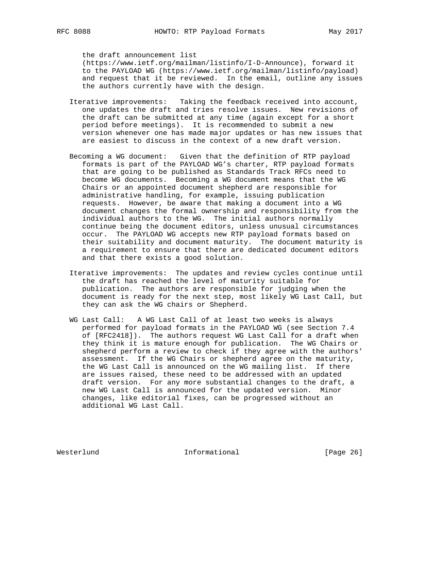the draft announcement list

 (https://www.ietf.org/mailman/listinfo/I-D-Announce), forward it to the PAYLOAD WG (https://www.ietf.org/mailman/listinfo/payload) and request that it be reviewed. In the email, outline any issues the authors currently have with the design.

- Iterative improvements: Taking the feedback received into account, one updates the draft and tries resolve issues. New revisions of the draft can be submitted at any time (again except for a short period before meetings). It is recommended to submit a new version whenever one has made major updates or has new issues that are easiest to discuss in the context of a new draft version.
- Becoming a WG document: Given that the definition of RTP payload formats is part of the PAYLOAD WG's charter, RTP payload formats that are going to be published as Standards Track RFCs need to become WG documents. Becoming a WG document means that the WG Chairs or an appointed document shepherd are responsible for administrative handling, for example, issuing publication requests. However, be aware that making a document into a WG document changes the formal ownership and responsibility from the individual authors to the WG. The initial authors normally continue being the document editors, unless unusual circumstances occur. The PAYLOAD WG accepts new RTP payload formats based on their suitability and document maturity. The document maturity is a requirement to ensure that there are dedicated document editors and that there exists a good solution.
- Iterative improvements: The updates and review cycles continue until the draft has reached the level of maturity suitable for publication. The authors are responsible for judging when the document is ready for the next step, most likely WG Last Call, but they can ask the WG chairs or Shepherd.
- WG Last Call: A WG Last Call of at least two weeks is always performed for payload formats in the PAYLOAD WG (see Section 7.4 of [RFC2418]). The authors request WG Last Call for a draft when they think it is mature enough for publication. The WG Chairs or shepherd perform a review to check if they agree with the authors' assessment. If the WG Chairs or shepherd agree on the maturity, the WG Last Call is announced on the WG mailing list. If there are issues raised, these need to be addressed with an updated draft version. For any more substantial changes to the draft, a new WG Last Call is announced for the updated version. Minor changes, like editorial fixes, can be progressed without an additional WG Last Call.

Westerlund Informational [Page 26]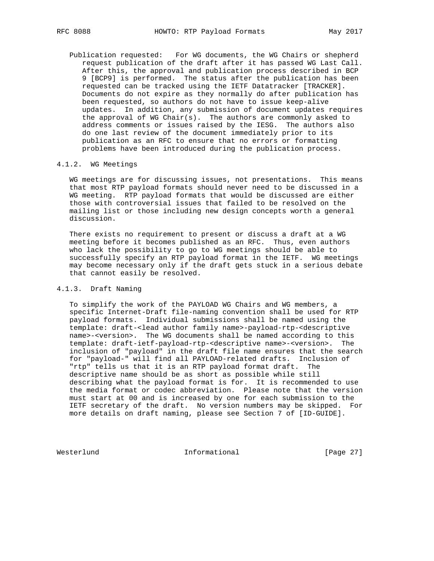Publication requested: For WG documents, the WG Chairs or shepherd request publication of the draft after it has passed WG Last Call. After this, the approval and publication process described in BCP 9 [BCP9] is performed. The status after the publication has been requested can be tracked using the IETF Datatracker [TRACKER]. Documents do not expire as they normally do after publication has been requested, so authors do not have to issue keep-alive updates. In addition, any submission of document updates requires the approval of WG Chair(s). The authors are commonly asked to address comments or issues raised by the IESG. The authors also do one last review of the document immediately prior to its publication as an RFC to ensure that no errors or formatting problems have been introduced during the publication process.

## 4.1.2. WG Meetings

 WG meetings are for discussing issues, not presentations. This means that most RTP payload formats should never need to be discussed in a WG meeting. RTP payload formats that would be discussed are either those with controversial issues that failed to be resolved on the mailing list or those including new design concepts worth a general discussion.

 There exists no requirement to present or discuss a draft at a WG meeting before it becomes published as an RFC. Thus, even authors who lack the possibility to go to WG meetings should be able to successfully specify an RTP payload format in the IETF. WG meetings may become necessary only if the draft gets stuck in a serious debate that cannot easily be resolved.

### 4.1.3. Draft Naming

 To simplify the work of the PAYLOAD WG Chairs and WG members, a specific Internet-Draft file-naming convention shall be used for RTP payload formats. Individual submissions shall be named using the template: draft-<lead author family name>-payload-rtp-<descriptive name>-<version>. The WG documents shall be named according to this template: draft-ietf-payload-rtp-<descriptive name>-<version>. The inclusion of "payload" in the draft file name ensures that the search for "payload-" will find all PAYLOAD-related drafts. Inclusion of "rtp" tells us that it is an RTP payload format draft. The descriptive name should be as short as possible while still describing what the payload format is for. It is recommended to use the media format or codec abbreviation. Please note that the version must start at 00 and is increased by one for each submission to the IETF secretary of the draft. No version numbers may be skipped. For more details on draft naming, please see Section 7 of [ID-GUIDE].

Westerlund 1nformational [Page 27]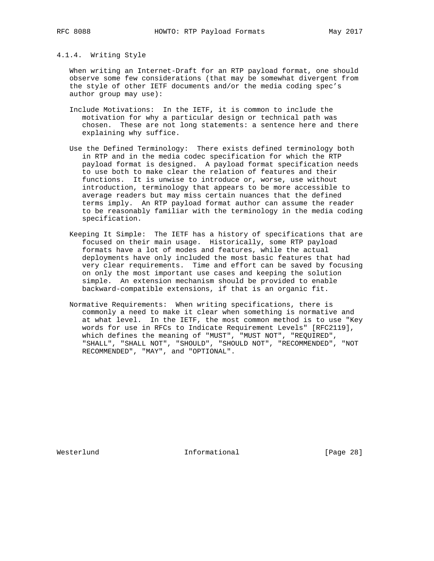## 4.1.4. Writing Style

 When writing an Internet-Draft for an RTP payload format, one should observe some few considerations (that may be somewhat divergent from the style of other IETF documents and/or the media coding spec's author group may use):

- Include Motivations: In the IETF, it is common to include the motivation for why a particular design or technical path was chosen. These are not long statements: a sentence here and there explaining why suffice.
- Use the Defined Terminology: There exists defined terminology both in RTP and in the media codec specification for which the RTP payload format is designed. A payload format specification needs to use both to make clear the relation of features and their functions. It is unwise to introduce or, worse, use without introduction, terminology that appears to be more accessible to average readers but may miss certain nuances that the defined terms imply. An RTP payload format author can assume the reader to be reasonably familiar with the terminology in the media coding specification.
- Keeping It Simple: The IETF has a history of specifications that are focused on their main usage. Historically, some RTP payload formats have a lot of modes and features, while the actual deployments have only included the most basic features that had very clear requirements. Time and effort can be saved by focusing on only the most important use cases and keeping the solution simple. An extension mechanism should be provided to enable backward-compatible extensions, if that is an organic fit.
- Normative Requirements: When writing specifications, there is commonly a need to make it clear when something is normative and at what level. In the IETF, the most common method is to use "Key words for use in RFCs to Indicate Requirement Levels" [RFC2119], which defines the meaning of "MUST", "MUST NOT", "REQUIRED", "SHALL", "SHALL NOT", "SHOULD", "SHOULD NOT", "RECOMMENDED", "NOT RECOMMENDED", "MAY", and "OPTIONAL".

Westerlund Informational [Page 28]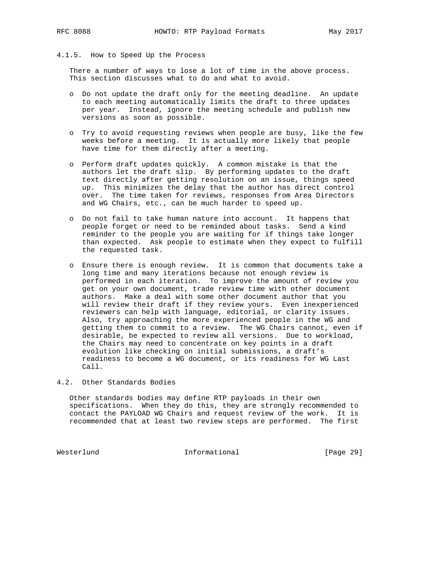4.1.5. How to Speed Up the Process

 There a number of ways to lose a lot of time in the above process. This section discusses what to do and what to avoid.

- o Do not update the draft only for the meeting deadline. An update to each meeting automatically limits the draft to three updates per year. Instead, ignore the meeting schedule and publish new versions as soon as possible.
- o Try to avoid requesting reviews when people are busy, like the few weeks before a meeting. It is actually more likely that people have time for them directly after a meeting.
- o Perform draft updates quickly. A common mistake is that the authors let the draft slip. By performing updates to the draft text directly after getting resolution on an issue, things speed up. This minimizes the delay that the author has direct control over. The time taken for reviews, responses from Area Directors and WG Chairs, etc., can be much harder to speed up.
- o Do not fail to take human nature into account. It happens that people forget or need to be reminded about tasks. Send a kind reminder to the people you are waiting for if things take longer than expected. Ask people to estimate when they expect to fulfill the requested task.
- o Ensure there is enough review. It is common that documents take a long time and many iterations because not enough review is performed in each iteration. To improve the amount of review you get on your own document, trade review time with other document authors. Make a deal with some other document author that you will review their draft if they review yours. Even inexperienced reviewers can help with language, editorial, or clarity issues. Also, try approaching the more experienced people in the WG and getting them to commit to a review. The WG Chairs cannot, even if desirable, be expected to review all versions. Due to workload, the Chairs may need to concentrate on key points in a draft evolution like checking on initial submissions, a draft's readiness to become a WG document, or its readiness for WG Last Call.

## 4.2. Other Standards Bodies

 Other standards bodies may define RTP payloads in their own specifications. When they do this, they are strongly recommended to contact the PAYLOAD WG Chairs and request review of the work. It is recommended that at least two review steps are performed. The first

Westerlund Informational [Page 29]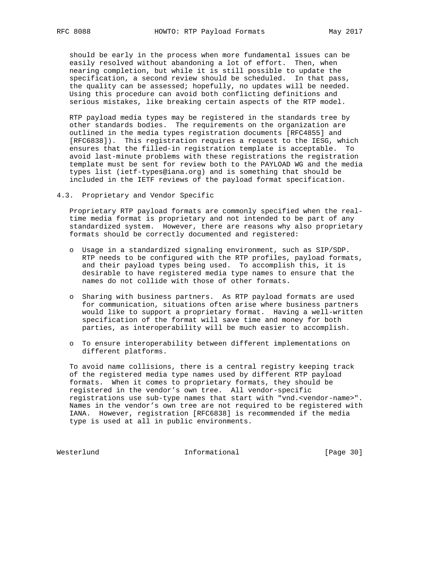should be early in the process when more fundamental issues can be easily resolved without abandoning a lot of effort. Then, when nearing completion, but while it is still possible to update the specification, a second review should be scheduled. In that pass, the quality can be assessed; hopefully, no updates will be needed. Using this procedure can avoid both conflicting definitions and serious mistakes, like breaking certain aspects of the RTP model.

 RTP payload media types may be registered in the standards tree by other standards bodies. The requirements on the organization are outlined in the media types registration documents [RFC4855] and [RFC6838]). This registration requires a request to the IESG, which ensures that the filled-in registration template is acceptable. To avoid last-minute problems with these registrations the registration template must be sent for review both to the PAYLOAD WG and the media types list (ietf-types@iana.org) and is something that should be included in the IETF reviews of the payload format specification.

#### 4.3. Proprietary and Vendor Specific

 Proprietary RTP payload formats are commonly specified when the real time media format is proprietary and not intended to be part of any standardized system. However, there are reasons why also proprietary formats should be correctly documented and registered:

- o Usage in a standardized signaling environment, such as SIP/SDP. RTP needs to be configured with the RTP profiles, payload formats, and their payload types being used. To accomplish this, it is desirable to have registered media type names to ensure that the names do not collide with those of other formats.
- o Sharing with business partners. As RTP payload formats are used for communication, situations often arise where business partners would like to support a proprietary format. Having a well-written specification of the format will save time and money for both parties, as interoperability will be much easier to accomplish.
- o To ensure interoperability between different implementations on different platforms.

 To avoid name collisions, there is a central registry keeping track of the registered media type names used by different RTP payload formats. When it comes to proprietary formats, they should be registered in the vendor's own tree. All vendor-specific registrations use sub-type names that start with "vnd.<vendor-name>". Names in the vendor's own tree are not required to be registered with IANA. However, registration [RFC6838] is recommended if the media type is used at all in public environments.

Westerlund Informational [Page 30]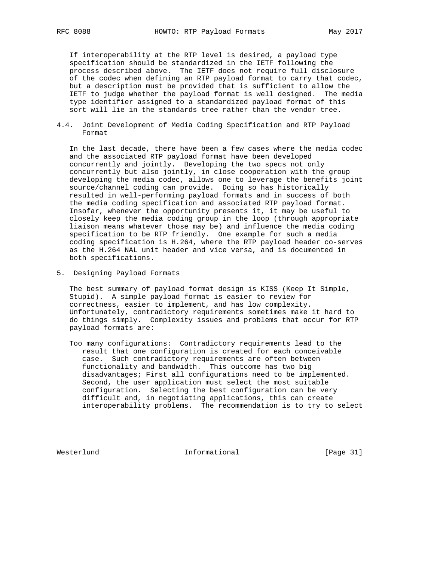If interoperability at the RTP level is desired, a payload type specification should be standardized in the IETF following the process described above. The IETF does not require full disclosure of the codec when defining an RTP payload format to carry that codec, but a description must be provided that is sufficient to allow the IETF to judge whether the payload format is well designed. The media type identifier assigned to a standardized payload format of this sort will lie in the standards tree rather than the vendor tree.

4.4. Joint Development of Media Coding Specification and RTP Payload Format

 In the last decade, there have been a few cases where the media codec and the associated RTP payload format have been developed concurrently and jointly. Developing the two specs not only concurrently but also jointly, in close cooperation with the group developing the media codec, allows one to leverage the benefits joint source/channel coding can provide. Doing so has historically resulted in well-performing payload formats and in success of both the media coding specification and associated RTP payload format. Insofar, whenever the opportunity presents it, it may be useful to closely keep the media coding group in the loop (through appropriate liaison means whatever those may be) and influence the media coding specification to be RTP friendly. One example for such a media coding specification is H.264, where the RTP payload header co-serves as the H.264 NAL unit header and vice versa, and is documented in both specifications.

5. Designing Payload Formats

 The best summary of payload format design is KISS (Keep It Simple, Stupid). A simple payload format is easier to review for correctness, easier to implement, and has low complexity. Unfortunately, contradictory requirements sometimes make it hard to do things simply. Complexity issues and problems that occur for RTP payload formats are:

 Too many configurations: Contradictory requirements lead to the result that one configuration is created for each conceivable case. Such contradictory requirements are often between functionality and bandwidth. This outcome has two big disadvantages; First all configurations need to be implemented. Second, the user application must select the most suitable configuration. Selecting the best configuration can be very difficult and, in negotiating applications, this can create interoperability problems. The recommendation is to try to select

Westerlund Informational [Page 31]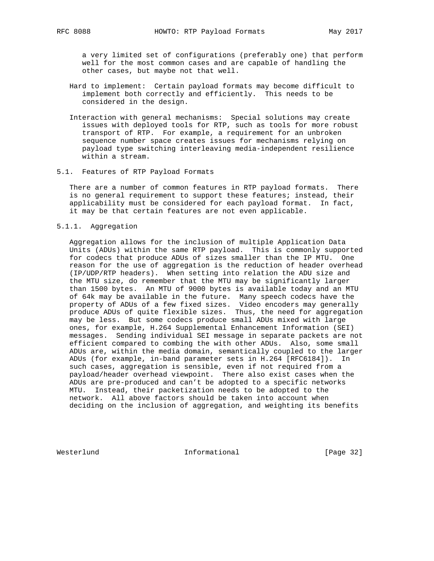a very limited set of configurations (preferably one) that perform well for the most common cases and are capable of handling the other cases, but maybe not that well.

- Hard to implement: Certain payload formats may become difficult to implement both correctly and efficiently. This needs to be considered in the design.
- Interaction with general mechanisms: Special solutions may create issues with deployed tools for RTP, such as tools for more robust transport of RTP. For example, a requirement for an unbroken sequence number space creates issues for mechanisms relying on payload type switching interleaving media-independent resilience within a stream.
- 5.1. Features of RTP Payload Formats

 There are a number of common features in RTP payload formats. There is no general requirement to support these features; instead, their applicability must be considered for each payload format. In fact, it may be that certain features are not even applicable.

#### 5.1.1. Aggregation

 Aggregation allows for the inclusion of multiple Application Data Units (ADUs) within the same RTP payload. This is commonly supported for codecs that produce ADUs of sizes smaller than the IP MTU. One reason for the use of aggregation is the reduction of header overhead (IP/UDP/RTP headers). When setting into relation the ADU size and the MTU size, do remember that the MTU may be significantly larger than 1500 bytes. An MTU of 9000 bytes is available today and an MTU of 64k may be available in the future. Many speech codecs have the property of ADUs of a few fixed sizes. Video encoders may generally produce ADUs of quite flexible sizes. Thus, the need for aggregation may be less. But some codecs produce small ADUs mixed with large ones, for example, H.264 Supplemental Enhancement Information (SEI) messages. Sending individual SEI message in separate packets are not efficient compared to combing the with other ADUs. Also, some small ADUs are, within the media domain, semantically coupled to the larger ADUs (for example, in-band parameter sets in H.264 [RFC6184]). In such cases, aggregation is sensible, even if not required from a payload/header overhead viewpoint. There also exist cases when the ADUs are pre-produced and can't be adopted to a specific networks MTU. Instead, their packetization needs to be adopted to the network. All above factors should be taken into account when deciding on the inclusion of aggregation, and weighting its benefits

Westerlund Informational [Page 32]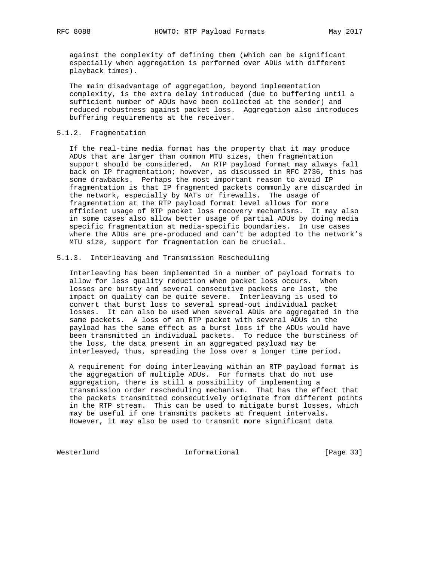against the complexity of defining them (which can be significant especially when aggregation is performed over ADUs with different playback times).

 The main disadvantage of aggregation, beyond implementation complexity, is the extra delay introduced (due to buffering until a sufficient number of ADUs have been collected at the sender) and reduced robustness against packet loss. Aggregation also introduces buffering requirements at the receiver.

## 5.1.2. Fragmentation

 If the real-time media format has the property that it may produce ADUs that are larger than common MTU sizes, then fragmentation support should be considered. An RTP payload format may always fall back on IP fragmentation; however, as discussed in RFC 2736, this has some drawbacks. Perhaps the most important reason to avoid IP fragmentation is that IP fragmented packets commonly are discarded in the network, especially by NATs or firewalls. The usage of fragmentation at the RTP payload format level allows for more efficient usage of RTP packet loss recovery mechanisms. It may also in some cases also allow better usage of partial ADUs by doing media specific fragmentation at media-specific boundaries. In use cases where the ADUs are pre-produced and can't be adopted to the network's MTU size, support for fragmentation can be crucial.

#### 5.1.3. Interleaving and Transmission Rescheduling

 Interleaving has been implemented in a number of payload formats to allow for less quality reduction when packet loss occurs. When losses are bursty and several consecutive packets are lost, the impact on quality can be quite severe. Interleaving is used to convert that burst loss to several spread-out individual packet losses. It can also be used when several ADUs are aggregated in the same packets. A loss of an RTP packet with several ADUs in the payload has the same effect as a burst loss if the ADUs would have been transmitted in individual packets. To reduce the burstiness of the loss, the data present in an aggregated payload may be interleaved, thus, spreading the loss over a longer time period.

 A requirement for doing interleaving within an RTP payload format is the aggregation of multiple ADUs. For formats that do not use aggregation, there is still a possibility of implementing a transmission order rescheduling mechanism. That has the effect that the packets transmitted consecutively originate from different points in the RTP stream. This can be used to mitigate burst losses, which may be useful if one transmits packets at frequent intervals. However, it may also be used to transmit more significant data

Westerlund Informational [Page 33]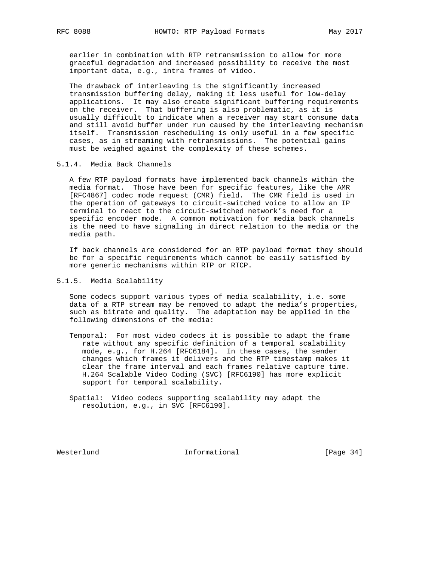earlier in combination with RTP retransmission to allow for more graceful degradation and increased possibility to receive the most important data, e.g., intra frames of video.

 The drawback of interleaving is the significantly increased transmission buffering delay, making it less useful for low-delay applications. It may also create significant buffering requirements on the receiver. That buffering is also problematic, as it is usually difficult to indicate when a receiver may start consume data and still avoid buffer under run caused by the interleaving mechanism itself. Transmission rescheduling is only useful in a few specific cases, as in streaming with retransmissions. The potential gains must be weighed against the complexity of these schemes.

## 5.1.4. Media Back Channels

 A few RTP payload formats have implemented back channels within the media format. Those have been for specific features, like the AMR [RFC4867] codec mode request (CMR) field. The CMR field is used in the operation of gateways to circuit-switched voice to allow an IP terminal to react to the circuit-switched network's need for a specific encoder mode. A common motivation for media back channels is the need to have signaling in direct relation to the media or the media path.

 If back channels are considered for an RTP payload format they should be for a specific requirements which cannot be easily satisfied by more generic mechanisms within RTP or RTCP.

### 5.1.5. Media Scalability

 Some codecs support various types of media scalability, i.e. some data of a RTP stream may be removed to adapt the media's properties, such as bitrate and quality. The adaptation may be applied in the following dimensions of the media:

 Temporal: For most video codecs it is possible to adapt the frame rate without any specific definition of a temporal scalability mode, e.g., for H.264 [RFC6184]. In these cases, the sender changes which frames it delivers and the RTP timestamp makes it clear the frame interval and each frames relative capture time. H.264 Scalable Video Coding (SVC) [RFC6190] has more explicit support for temporal scalability.

 Spatial: Video codecs supporting scalability may adapt the resolution, e.g., in SVC [RFC6190].

Westerlund Informational [Page 34]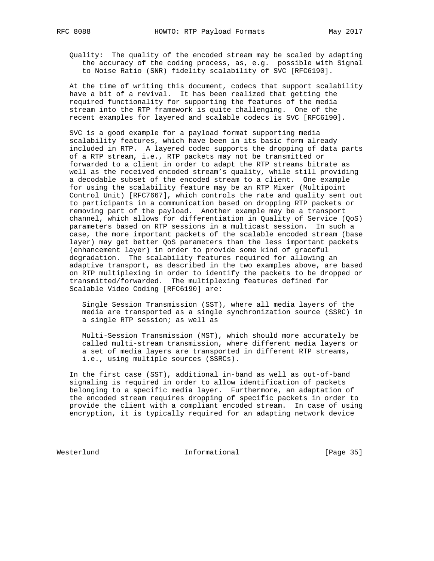Quality: The quality of the encoded stream may be scaled by adapting the accuracy of the coding process, as, e.g. possible with Signal to Noise Ratio (SNR) fidelity scalability of SVC [RFC6190].

 At the time of writing this document, codecs that support scalability have a bit of a revival. It has been realized that getting the required functionality for supporting the features of the media stream into the RTP framework is quite challenging. One of the recent examples for layered and scalable codecs is SVC [RFC6190].

 SVC is a good example for a payload format supporting media scalability features, which have been in its basic form already included in RTP. A layered codec supports the dropping of data parts of a RTP stream, i.e., RTP packets may not be transmitted or forwarded to a client in order to adapt the RTP streams bitrate as well as the received encoded stream's quality, while still providing a decodable subset of the encoded stream to a client. One example for using the scalability feature may be an RTP Mixer (Multipoint Control Unit) [RFC7667], which controls the rate and quality sent out to participants in a communication based on dropping RTP packets or removing part of the payload. Another example may be a transport channel, which allows for differentiation in Quality of Service (QoS) parameters based on RTP sessions in a multicast session. In such a case, the more important packets of the scalable encoded stream (base layer) may get better QoS parameters than the less important packets (enhancement layer) in order to provide some kind of graceful degradation. The scalability features required for allowing an adaptive transport, as described in the two examples above, are based on RTP multiplexing in order to identify the packets to be dropped or transmitted/forwarded. The multiplexing features defined for Scalable Video Coding [RFC6190] are:

 Single Session Transmission (SST), where all media layers of the media are transported as a single synchronization source (SSRC) in a single RTP session; as well as

 Multi-Session Transmission (MST), which should more accurately be called multi-stream transmission, where different media layers or a set of media layers are transported in different RTP streams, i.e., using multiple sources (SSRCs).

 In the first case (SST), additional in-band as well as out-of-band signaling is required in order to allow identification of packets belonging to a specific media layer. Furthermore, an adaptation of the encoded stream requires dropping of specific packets in order to provide the client with a compliant encoded stream. In case of using encryption, it is typically required for an adapting network device

Westerlund Informational [Page 35]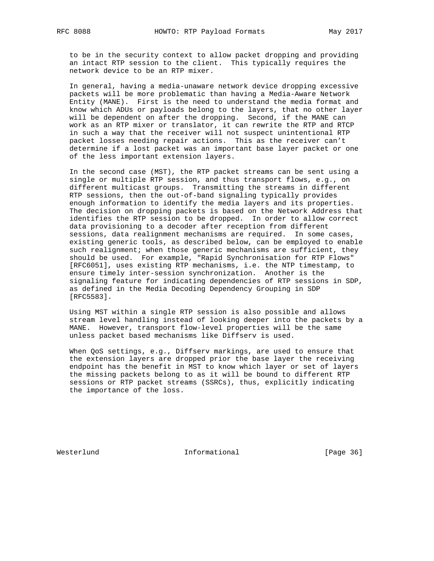to be in the security context to allow packet dropping and providing an intact RTP session to the client. This typically requires the network device to be an RTP mixer.

 In general, having a media-unaware network device dropping excessive packets will be more problematic than having a Media-Aware Network Entity (MANE). First is the need to understand the media format and know which ADUs or payloads belong to the layers, that no other layer will be dependent on after the dropping. Second, if the MANE can work as an RTP mixer or translator, it can rewrite the RTP and RTCP in such a way that the receiver will not suspect unintentional RTP packet losses needing repair actions. This as the receiver can't determine if a lost packet was an important base layer packet or one of the less important extension layers.

 In the second case (MST), the RTP packet streams can be sent using a single or multiple RTP session, and thus transport flows, e.g., on different multicast groups. Transmitting the streams in different RTP sessions, then the out-of-band signaling typically provides enough information to identify the media layers and its properties. The decision on dropping packets is based on the Network Address that identifies the RTP session to be dropped. In order to allow correct data provisioning to a decoder after reception from different sessions, data realignment mechanisms are required. In some cases, existing generic tools, as described below, can be employed to enable such realignment; when those generic mechanisms are sufficient, they should be used. For example, "Rapid Synchronisation for RTP Flows" [RFC6051], uses existing RTP mechanisms, i.e. the NTP timestamp, to ensure timely inter-session synchronization. Another is the signaling feature for indicating dependencies of RTP sessions in SDP, as defined in the Media Decoding Dependency Grouping in SDP [RFC5583].

 Using MST within a single RTP session is also possible and allows stream level handling instead of looking deeper into the packets by a MANE. However, transport flow-level properties will be the same unless packet based mechanisms like Diffserv is used.

 When QoS settings, e.g., Diffserv markings, are used to ensure that the extension layers are dropped prior the base layer the receiving endpoint has the benefit in MST to know which layer or set of layers the missing packets belong to as it will be bound to different RTP sessions or RTP packet streams (SSRCs), thus, explicitly indicating the importance of the loss.

Westerlund Informational [Page 36]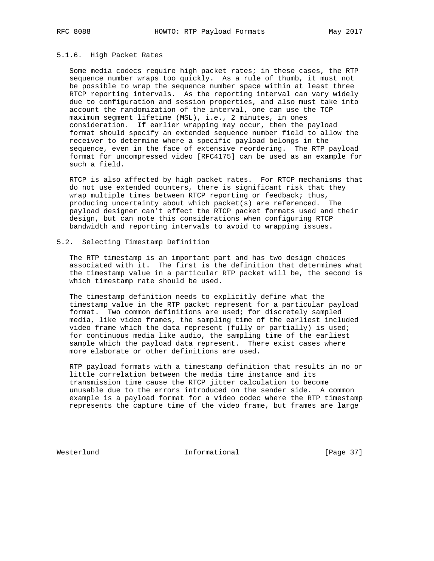## 5.1.6. High Packet Rates

 Some media codecs require high packet rates; in these cases, the RTP sequence number wraps too quickly. As a rule of thumb, it must not be possible to wrap the sequence number space within at least three RTCP reporting intervals. As the reporting interval can vary widely due to configuration and session properties, and also must take into account the randomization of the interval, one can use the TCP maximum segment lifetime (MSL), i.e., 2 minutes, in ones consideration. If earlier wrapping may occur, then the payload format should specify an extended sequence number field to allow the receiver to determine where a specific payload belongs in the sequence, even in the face of extensive reordering. The RTP payload format for uncompressed video [RFC4175] can be used as an example for such a field.

 RTCP is also affected by high packet rates. For RTCP mechanisms that do not use extended counters, there is significant risk that they wrap multiple times between RTCP reporting or feedback; thus, producing uncertainty about which packet(s) are referenced. The payload designer can't effect the RTCP packet formats used and their design, but can note this considerations when configuring RTCP bandwidth and reporting intervals to avoid to wrapping issues.

#### 5.2. Selecting Timestamp Definition

 The RTP timestamp is an important part and has two design choices associated with it. The first is the definition that determines what the timestamp value in a particular RTP packet will be, the second is which timestamp rate should be used.

 The timestamp definition needs to explicitly define what the timestamp value in the RTP packet represent for a particular payload format. Two common definitions are used; for discretely sampled media, like video frames, the sampling time of the earliest included video frame which the data represent (fully or partially) is used; for continuous media like audio, the sampling time of the earliest sample which the payload data represent. There exist cases where more elaborate or other definitions are used.

 RTP payload formats with a timestamp definition that results in no or little correlation between the media time instance and its transmission time cause the RTCP jitter calculation to become unusable due to the errors introduced on the sender side. A common example is a payload format for a video codec where the RTP timestamp represents the capture time of the video frame, but frames are large

Westerlund 1nformational [Page 37]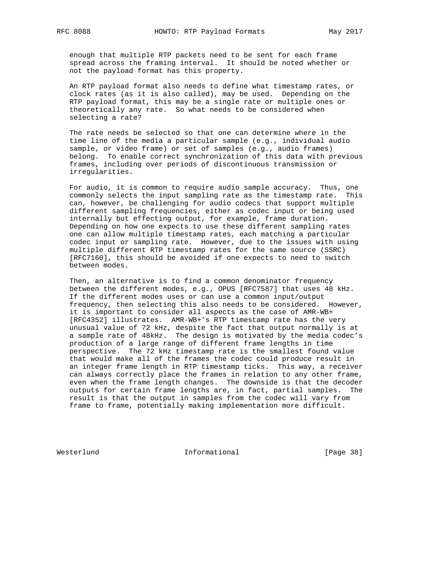enough that multiple RTP packets need to be sent for each frame spread across the framing interval. It should be noted whether or not the payload format has this property.

 An RTP payload format also needs to define what timestamp rates, or clock rates (as it is also called), may be used. Depending on the RTP payload format, this may be a single rate or multiple ones or theoretically any rate. So what needs to be considered when selecting a rate?

 The rate needs be selected so that one can determine where in the time line of the media a particular sample (e.g., individual audio sample, or video frame) or set of samples (e.g., audio frames) belong. To enable correct synchronization of this data with previous frames, including over periods of discontinuous transmission or irregularities.

 For audio, it is common to require audio sample accuracy. Thus, one commonly selects the input sampling rate as the timestamp rate. This can, however, be challenging for audio codecs that support multiple different sampling frequencies, either as codec input or being used internally but effecting output, for example, frame duration. Depending on how one expects to use these different sampling rates one can allow multiple timestamp rates, each matching a particular codec input or sampling rate. However, due to the issues with using multiple different RTP timestamp rates for the same source (SSRC) [RFC7160], this should be avoided if one expects to need to switch between modes.

 Then, an alternative is to find a common denominator frequency between the different modes, e.g., OPUS [RFC7587] that uses 48 kHz. If the different modes uses or can use a common input/output frequency, then selecting this also needs to be considered. However, it is important to consider all aspects as the case of AMR-WB+ [RFC4352] illustrates. AMR-WB+'s RTP timestamp rate has the very unusual value of 72 kHz, despite the fact that output normally is at a sample rate of 48kHz. The design is motivated by the media codec's production of a large range of different frame lengths in time perspective. The 72 kHz timestamp rate is the smallest found value that would make all of the frames the codec could produce result in an integer frame length in RTP timestamp ticks. This way, a receiver can always correctly place the frames in relation to any other frame, even when the frame length changes. The downside is that the decoder outputs for certain frame lengths are, in fact, partial samples. The result is that the output in samples from the codec will vary from frame to frame, potentially making implementation more difficult.

Westerlund 1nformational [Page 38]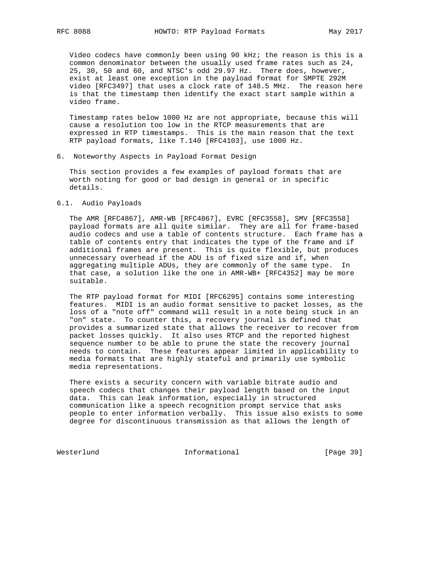Video codecs have commonly been using 90 kHz; the reason is this is a common denominator between the usually used frame rates such as 24, 25, 30, 50 and 60, and NTSC's odd 29.97 Hz. There does, however, exist at least one exception in the payload format for SMPTE 292M video [RFC3497] that uses a clock rate of 148.5 MHz. The reason here is that the timestamp then identify the exact start sample within a video frame.

 Timestamp rates below 1000 Hz are not appropriate, because this will cause a resolution too low in the RTCP measurements that are expressed in RTP timestamps. This is the main reason that the text RTP payload formats, like T.140 [RFC4103], use 1000 Hz.

6. Noteworthy Aspects in Payload Format Design

 This section provides a few examples of payload formats that are worth noting for good or bad design in general or in specific details.

#### 6.1. Audio Payloads

 The AMR [RFC4867], AMR-WB [RFC4867], EVRC [RFC3558], SMV [RFC3558] payload formats are all quite similar. They are all for frame-based audio codecs and use a table of contents structure. Each frame has a table of contents entry that indicates the type of the frame and if additional frames are present. This is quite flexible, but produces unnecessary overhead if the ADU is of fixed size and if, when aggregating multiple ADUs, they are commonly of the same type. In that case, a solution like the one in AMR-WB+ [RFC4352] may be more suitable.

 The RTP payload format for MIDI [RFC6295] contains some interesting features. MIDI is an audio format sensitive to packet losses, as the loss of a "note off" command will result in a note being stuck in an "on" state. To counter this, a recovery journal is defined that provides a summarized state that allows the receiver to recover from packet losses quickly. It also uses RTCP and the reported highest sequence number to be able to prune the state the recovery journal needs to contain. These features appear limited in applicability to media formats that are highly stateful and primarily use symbolic media representations.

 There exists a security concern with variable bitrate audio and speech codecs that changes their payload length based on the input data. This can leak information, especially in structured communication like a speech recognition prompt service that asks people to enter information verbally. This issue also exists to some degree for discontinuous transmission as that allows the length of

Westerlund 1nformational [Page 39]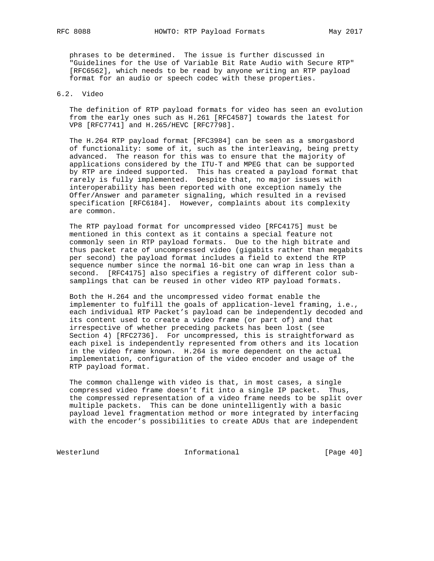phrases to be determined. The issue is further discussed in "Guidelines for the Use of Variable Bit Rate Audio with Secure RTP" [RFC6562], which needs to be read by anyone writing an RTP payload format for an audio or speech codec with these properties.

## 6.2. Video

 The definition of RTP payload formats for video has seen an evolution from the early ones such as H.261 [RFC4587] towards the latest for VP8 [RFC7741] and H.265/HEVC [RFC7798].

 The H.264 RTP payload format [RFC3984] can be seen as a smorgasbord of functionality: some of it, such as the interleaving, being pretty advanced. The reason for this was to ensure that the majority of applications considered by the ITU-T and MPEG that can be supported by RTP are indeed supported. This has created a payload format that rarely is fully implemented. Despite that, no major issues with interoperability has been reported with one exception namely the Offer/Answer and parameter signaling, which resulted in a revised specification [RFC6184]. However, complaints about its complexity are common.

 The RTP payload format for uncompressed video [RFC4175] must be mentioned in this context as it contains a special feature not commonly seen in RTP payload formats. Due to the high bitrate and thus packet rate of uncompressed video (gigabits rather than megabits per second) the payload format includes a field to extend the RTP sequence number since the normal 16-bit one can wrap in less than a second. [RFC4175] also specifies a registry of different color sub samplings that can be reused in other video RTP payload formats.

 Both the H.264 and the uncompressed video format enable the implementer to fulfill the goals of application-level framing, i.e., each individual RTP Packet's payload can be independently decoded and its content used to create a video frame (or part of) and that irrespective of whether preceding packets has been lost (see Section 4) [RFC2736]. For uncompressed, this is straightforward as each pixel is independently represented from others and its location in the video frame known. H.264 is more dependent on the actual implementation, configuration of the video encoder and usage of the RTP payload format.

 The common challenge with video is that, in most cases, a single compressed video frame doesn't fit into a single IP packet. Thus, the compressed representation of a video frame needs to be split over multiple packets. This can be done unintelligently with a basic payload level fragmentation method or more integrated by interfacing with the encoder's possibilities to create ADUs that are independent

Westerlund Informational [Page 40]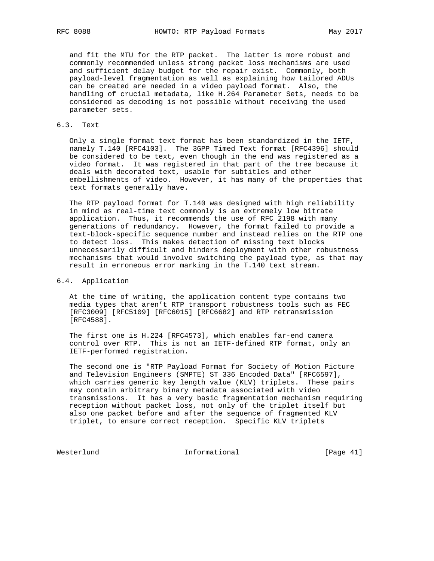and fit the MTU for the RTP packet. The latter is more robust and commonly recommended unless strong packet loss mechanisms are used and sufficient delay budget for the repair exist. Commonly, both payload-level fragmentation as well as explaining how tailored ADUs can be created are needed in a video payload format. Also, the handling of crucial metadata, like H.264 Parameter Sets, needs to be considered as decoding is not possible without receiving the used parameter sets.

## 6.3. Text

 Only a single format text format has been standardized in the IETF, namely T.140 [RFC4103]. The 3GPP Timed Text format [RFC4396] should be considered to be text, even though in the end was registered as a video format. It was registered in that part of the tree because it deals with decorated text, usable for subtitles and other embellishments of video. However, it has many of the properties that text formats generally have.

 The RTP payload format for T.140 was designed with high reliability in mind as real-time text commonly is an extremely low bitrate application. Thus, it recommends the use of RFC 2198 with many generations of redundancy. However, the format failed to provide a text-block-specific sequence number and instead relies on the RTP one to detect loss. This makes detection of missing text blocks unnecessarily difficult and hinders deployment with other robustness mechanisms that would involve switching the payload type, as that may result in erroneous error marking in the T.140 text stream.

### 6.4. Application

 At the time of writing, the application content type contains two media types that aren't RTP transport robustness tools such as FEC [RFC3009] [RFC5109] [RFC6015] [RFC6682] and RTP retransmission [RFC4588].

 The first one is H.224 [RFC4573], which enables far-end camera control over RTP. This is not an IETF-defined RTP format, only an IETF-performed registration.

 The second one is "RTP Payload Format for Society of Motion Picture and Television Engineers (SMPTE) ST 336 Encoded Data" [RFC6597], which carries generic key length value (KLV) triplets. These pairs may contain arbitrary binary metadata associated with video transmissions. It has a very basic fragmentation mechanism requiring reception without packet loss, not only of the triplet itself but also one packet before and after the sequence of fragmented KLV triplet, to ensure correct reception. Specific KLV triplets

Westerlund 1nformational [Page 41]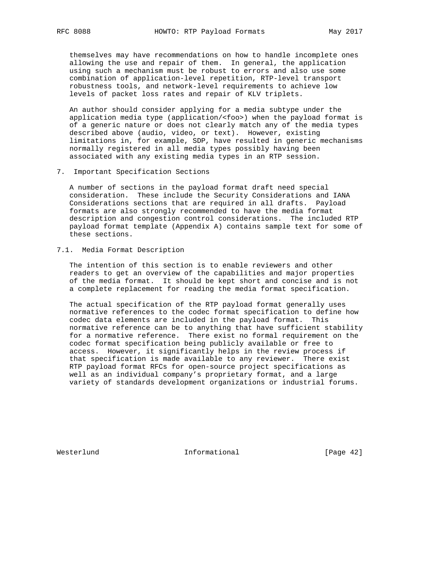themselves may have recommendations on how to handle incomplete ones allowing the use and repair of them. In general, the application using such a mechanism must be robust to errors and also use some combination of application-level repetition, RTP-level transport robustness tools, and network-level requirements to achieve low levels of packet loss rates and repair of KLV triplets.

 An author should consider applying for a media subtype under the application media type (application/<foo>) when the payload format is of a generic nature or does not clearly match any of the media types described above (audio, video, or text). However, existing limitations in, for example, SDP, have resulted in generic mechanisms normally registered in all media types possibly having been associated with any existing media types in an RTP session.

7. Important Specification Sections

 A number of sections in the payload format draft need special consideration. These include the Security Considerations and IANA Considerations sections that are required in all drafts. Payload formats are also strongly recommended to have the media format description and congestion control considerations. The included RTP payload format template (Appendix A) contains sample text for some of these sections.

## 7.1. Media Format Description

 The intention of this section is to enable reviewers and other readers to get an overview of the capabilities and major properties of the media format. It should be kept short and concise and is not a complete replacement for reading the media format specification.

 The actual specification of the RTP payload format generally uses normative references to the codec format specification to define how codec data elements are included in the payload format. This normative reference can be to anything that have sufficient stability for a normative reference. There exist no formal requirement on the codec format specification being publicly available or free to access. However, it significantly helps in the review process if that specification is made available to any reviewer. There exist RTP payload format RFCs for open-source project specifications as well as an individual company's proprietary format, and a large variety of standards development organizations or industrial forums.

Westerlund Informational [Page 42]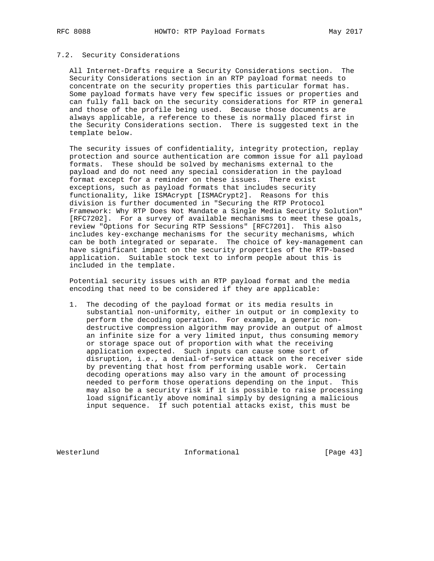## 7.2. Security Considerations

 All Internet-Drafts require a Security Considerations section. The Security Considerations section in an RTP payload format needs to concentrate on the security properties this particular format has. Some payload formats have very few specific issues or properties and can fully fall back on the security considerations for RTP in general and those of the profile being used. Because those documents are always applicable, a reference to these is normally placed first in the Security Considerations section. There is suggested text in the template below.

 The security issues of confidentiality, integrity protection, replay protection and source authentication are common issue for all payload formats. These should be solved by mechanisms external to the payload and do not need any special consideration in the payload format except for a reminder on these issues. There exist exceptions, such as payload formats that includes security functionality, like ISMAcrypt [ISMACrypt2]. Reasons for this division is further documented in "Securing the RTP Protocol Framework: Why RTP Does Not Mandate a Single Media Security Solution" [RFC7202]. For a survey of available mechanisms to meet these goals, review "Options for Securing RTP Sessions" [RFC7201]. This also includes key-exchange mechanisms for the security mechanisms, which can be both integrated or separate. The choice of key-management can have significant impact on the security properties of the RTP-based application. Suitable stock text to inform people about this is included in the template.

 Potential security issues with an RTP payload format and the media encoding that need to be considered if they are applicable:

 1. The decoding of the payload format or its media results in substantial non-uniformity, either in output or in complexity to perform the decoding operation. For example, a generic non destructive compression algorithm may provide an output of almost an infinite size for a very limited input, thus consuming memory or storage space out of proportion with what the receiving application expected. Such inputs can cause some sort of disruption, i.e., a denial-of-service attack on the receiver side by preventing that host from performing usable work. Certain decoding operations may also vary in the amount of processing needed to perform those operations depending on the input. This may also be a security risk if it is possible to raise processing load significantly above nominal simply by designing a malicious input sequence. If such potential attacks exist, this must be

Westerlund 1nformational [Page 43]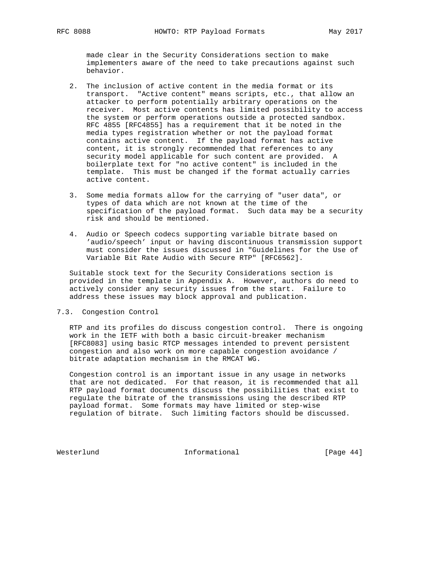made clear in the Security Considerations section to make implementers aware of the need to take precautions against such behavior.

- 2. The inclusion of active content in the media format or its transport. "Active content" means scripts, etc., that allow an attacker to perform potentially arbitrary operations on the receiver. Most active contents has limited possibility to access the system or perform operations outside a protected sandbox. RFC 4855 [RFC4855] has a requirement that it be noted in the media types registration whether or not the payload format contains active content. If the payload format has active content, it is strongly recommended that references to any security model applicable for such content are provided. A boilerplate text for "no active content" is included in the template. This must be changed if the format actually carries active content.
- 3. Some media formats allow for the carrying of "user data", or types of data which are not known at the time of the specification of the payload format. Such data may be a security risk and should be mentioned.
- 4. Audio or Speech codecs supporting variable bitrate based on 'audio/speech' input or having discontinuous transmission support must consider the issues discussed in "Guidelines for the Use of Variable Bit Rate Audio with Secure RTP" [RFC6562].

 Suitable stock text for the Security Considerations section is provided in the template in Appendix A. However, authors do need to actively consider any security issues from the start. Failure to address these issues may block approval and publication.

#### 7.3. Congestion Control

 RTP and its profiles do discuss congestion control. There is ongoing work in the IETF with both a basic circuit-breaker mechanism [RFC8083] using basic RTCP messages intended to prevent persistent congestion and also work on more capable congestion avoidance / bitrate adaptation mechanism in the RMCAT WG.

 Congestion control is an important issue in any usage in networks that are not dedicated. For that reason, it is recommended that all RTP payload format documents discuss the possibilities that exist to regulate the bitrate of the transmissions using the described RTP payload format. Some formats may have limited or step-wise regulation of bitrate. Such limiting factors should be discussed.

Westerlund Informational [Page 44]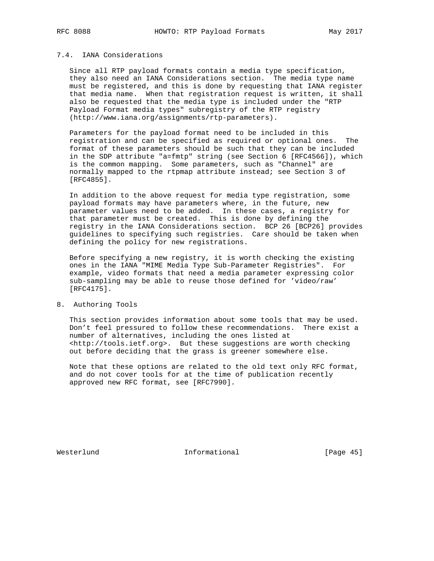### 7.4. IANA Considerations

 Since all RTP payload formats contain a media type specification, they also need an IANA Considerations section. The media type name must be registered, and this is done by requesting that IANA register that media name. When that registration request is written, it shall also be requested that the media type is included under the "RTP Payload Format media types" subregistry of the RTP registry (http://www.iana.org/assignments/rtp-parameters).

 Parameters for the payload format need to be included in this registration and can be specified as required or optional ones. The format of these parameters should be such that they can be included in the SDP attribute "a=fmtp" string (see Section 6 [RFC4566]), which is the common mapping. Some parameters, such as "Channel" are normally mapped to the rtpmap attribute instead; see Section 3 of [RFC4855].

 In addition to the above request for media type registration, some payload formats may have parameters where, in the future, new parameter values need to be added. In these cases, a registry for that parameter must be created. This is done by defining the registry in the IANA Considerations section. BCP 26 [BCP26] provides guidelines to specifying such registries. Care should be taken when defining the policy for new registrations.

 Before specifying a new registry, it is worth checking the existing ones in the IANA "MIME Media Type Sub-Parameter Registries". For example, video formats that need a media parameter expressing color sub-sampling may be able to reuse those defined for 'video/raw' [RFC4175].

#### 8. Authoring Tools

 This section provides information about some tools that may be used. Don't feel pressured to follow these recommendations. There exist a number of alternatives, including the ones listed at <http://tools.ietf.org>. But these suggestions are worth checking out before deciding that the grass is greener somewhere else.

 Note that these options are related to the old text only RFC format, and do not cover tools for at the time of publication recently approved new RFC format, see [RFC7990].

Westerlund Informational [Page 45]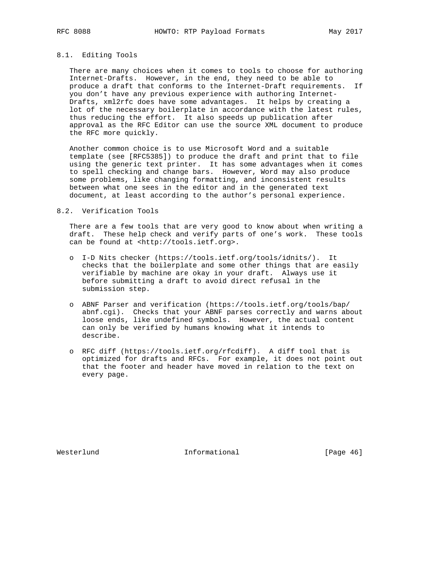## 8.1. Editing Tools

 There are many choices when it comes to tools to choose for authoring Internet-Drafts. However, in the end, they need to be able to produce a draft that conforms to the Internet-Draft requirements. If you don't have any previous experience with authoring Internet- Drafts, xml2rfc does have some advantages. It helps by creating a lot of the necessary boilerplate in accordance with the latest rules, thus reducing the effort. It also speeds up publication after approval as the RFC Editor can use the source XML document to produce the RFC more quickly.

 Another common choice is to use Microsoft Word and a suitable template (see [RFC5385]) to produce the draft and print that to file using the generic text printer. It has some advantages when it comes to spell checking and change bars. However, Word may also produce some problems, like changing formatting, and inconsistent results between what one sees in the editor and in the generated text document, at least according to the author's personal experience.

#### 8.2. Verification Tools

 There are a few tools that are very good to know about when writing a draft. These help check and verify parts of one's work. These tools can be found at <http://tools.ietf.org>.

- o I-D Nits checker (https://tools.ietf.org/tools/idnits/). It checks that the boilerplate and some other things that are easily verifiable by machine are okay in your draft. Always use it before submitting a draft to avoid direct refusal in the submission step.
- o ABNF Parser and verification (https://tools.ietf.org/tools/bap/ abnf.cgi). Checks that your ABNF parses correctly and warns about loose ends, like undefined symbols. However, the actual content can only be verified by humans knowing what it intends to describe.
- o RFC diff (https://tools.ietf.org/rfcdiff). A diff tool that is optimized for drafts and RFCs. For example, it does not point out that the footer and header have moved in relation to the text on every page.

Westerlund Informational [Page 46]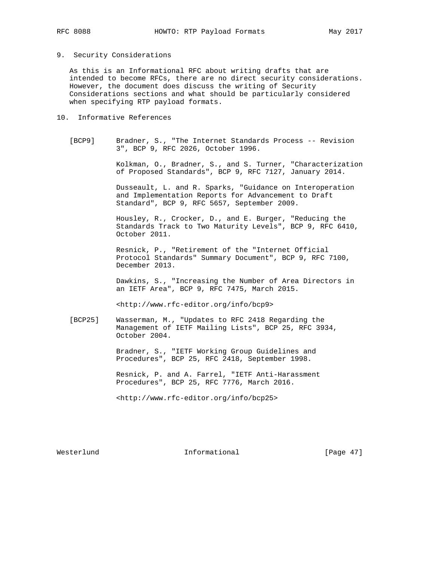#### 9. Security Considerations

 As this is an Informational RFC about writing drafts that are intended to become RFCs, there are no direct security considerations. However, the document does discuss the writing of Security Considerations sections and what should be particularly considered when specifying RTP payload formats.

- 10. Informative References
	- [BCP9] Bradner, S., "The Internet Standards Process -- Revision 3", BCP 9, RFC 2026, October 1996.

 Kolkman, O., Bradner, S., and S. Turner, "Characterization of Proposed Standards", BCP 9, RFC 7127, January 2014.

 Dusseault, L. and R. Sparks, "Guidance on Interoperation and Implementation Reports for Advancement to Draft Standard", BCP 9, RFC 5657, September 2009.

 Housley, R., Crocker, D., and E. Burger, "Reducing the Standards Track to Two Maturity Levels", BCP 9, RFC 6410, October 2011.

 Resnick, P., "Retirement of the "Internet Official Protocol Standards" Summary Document", BCP 9, RFC 7100, December 2013.

 Dawkins, S., "Increasing the Number of Area Directors in an IETF Area", BCP 9, RFC 7475, March 2015.

<http://www.rfc-editor.org/info/bcp9>

 [BCP25] Wasserman, M., "Updates to RFC 2418 Regarding the Management of IETF Mailing Lists", BCP 25, RFC 3934, October 2004.

> Bradner, S., "IETF Working Group Guidelines and Procedures", BCP 25, RFC 2418, September 1998.

 Resnick, P. and A. Farrel, "IETF Anti-Harassment Procedures", BCP 25, RFC 7776, March 2016.

<http://www.rfc-editor.org/info/bcp25>

Westerlund Informational [Page 47]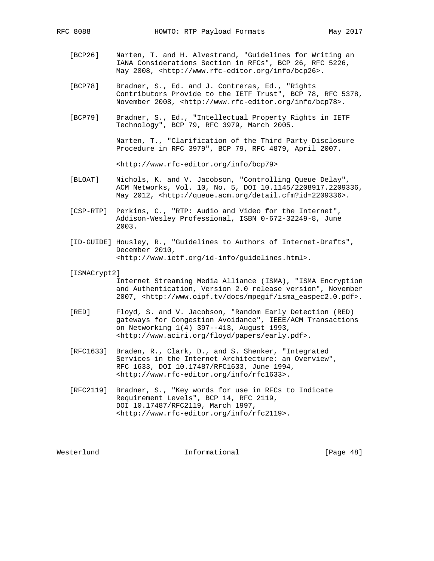- 
- [BCP26] Narten, T. and H. Alvestrand, "Guidelines for Writing an IANA Considerations Section in RFCs", BCP 26, RFC 5226, May 2008, <http://www.rfc-editor.org/info/bcp26>.
- [BCP78] Bradner, S., Ed. and J. Contreras, Ed., "Rights Contributors Provide to the IETF Trust", BCP 78, RFC 5378, November 2008, <http://www.rfc-editor.org/info/bcp78>.
- [BCP79] Bradner, S., Ed., "Intellectual Property Rights in IETF Technology", BCP 79, RFC 3979, March 2005.

 Narten, T., "Clarification of the Third Party Disclosure Procedure in RFC 3979", BCP 79, RFC 4879, April 2007.

<http://www.rfc-editor.org/info/bcp79>

- [BLOAT] Nichols, K. and V. Jacobson, "Controlling Queue Delay", ACM Networks, Vol. 10, No. 5, DOI 10.1145/2208917.2209336, May 2012, <http://queue.acm.org/detail.cfm?id=2209336>.
- [CSP-RTP] Perkins, C., "RTP: Audio and Video for the Internet", Addison-Wesley Professional, ISBN 0-672-32249-8, June 2003.
- [ID-GUIDE] Housley, R., "Guidelines to Authors of Internet-Drafts", December 2010, <http://www.ietf.org/id-info/guidelines.html>.
- [ISMACrypt2]

 Internet Streaming Media Alliance (ISMA), "ISMA Encryption and Authentication, Version 2.0 release version", November 2007, <http://www.oipf.tv/docs/mpegif/isma\_easpec2.0.pdf>.

- [RED] Floyd, S. and V. Jacobson, "Random Early Detection (RED) gateways for Congestion Avoidance", IEEE/ACM Transactions on Networking 1(4) 397--413, August 1993, <http://www.aciri.org/floyd/papers/early.pdf>.
- [RFC1633] Braden, R., Clark, D., and S. Shenker, "Integrated Services in the Internet Architecture: an Overview", RFC 1633, DOI 10.17487/RFC1633, June 1994, <http://www.rfc-editor.org/info/rfc1633>.
- [RFC2119] Bradner, S., "Key words for use in RFCs to Indicate Requirement Levels", BCP 14, RFC 2119, DOI 10.17487/RFC2119, March 1997, <http://www.rfc-editor.org/info/rfc2119>.

Westerlund Informational [Page 48]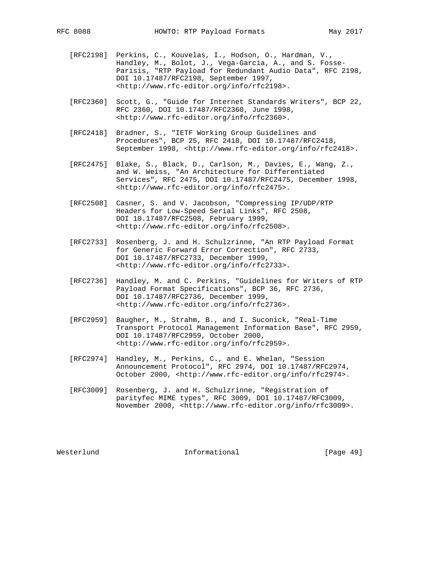- [RFC2198] Perkins, C., Kouvelas, I., Hodson, O., Hardman, V., Handley, M., Bolot, J., Vega-Garcia, A., and S. Fosse- Parisis, "RTP Payload for Redundant Audio Data", RFC 2198, DOI 10.17487/RFC2198, September 1997, <http://www.rfc-editor.org/info/rfc2198>.
- [RFC2360] Scott, G., "Guide for Internet Standards Writers", BCP 22, RFC 2360, DOI 10.17487/RFC2360, June 1998, <http://www.rfc-editor.org/info/rfc2360>.
- [RFC2418] Bradner, S., "IETF Working Group Guidelines and Procedures", BCP 25, RFC 2418, DOI 10.17487/RFC2418, September 1998, <http://www.rfc-editor.org/info/rfc2418>.
- [RFC2475] Blake, S., Black, D., Carlson, M., Davies, E., Wang, Z., and W. Weiss, "An Architecture for Differentiated Services", RFC 2475, DOI 10.17487/RFC2475, December 1998, <http://www.rfc-editor.org/info/rfc2475>.
- [RFC2508] Casner, S. and V. Jacobson, "Compressing IP/UDP/RTP Headers for Low-Speed Serial Links", RFC 2508, DOI 10.17487/RFC2508, February 1999, <http://www.rfc-editor.org/info/rfc2508>.
- [RFC2733] Rosenberg, J. and H. Schulzrinne, "An RTP Payload Format for Generic Forward Error Correction", RFC 2733, DOI 10.17487/RFC2733, December 1999, <http://www.rfc-editor.org/info/rfc2733>.
- [RFC2736] Handley, M. and C. Perkins, "Guidelines for Writers of RTP Payload Format Specifications", BCP 36, RFC 2736, DOI 10.17487/RFC2736, December 1999, <http://www.rfc-editor.org/info/rfc2736>.
- [RFC2959] Baugher, M., Strahm, B., and I. Suconick, "Real-Time Transport Protocol Management Information Base", RFC 2959, DOI 10.17487/RFC2959, October 2000, <http://www.rfc-editor.org/info/rfc2959>.
- [RFC2974] Handley, M., Perkins, C., and E. Whelan, "Session Announcement Protocol", RFC 2974, DOI 10.17487/RFC2974, October 2000, <http://www.rfc-editor.org/info/rfc2974>.
- [RFC3009] Rosenberg, J. and H. Schulzrinne, "Registration of parityfec MIME types", RFC 3009, DOI 10.17487/RFC3009, November 2000, <http://www.rfc-editor.org/info/rfc3009>.

Westerlund Informational [Page 49]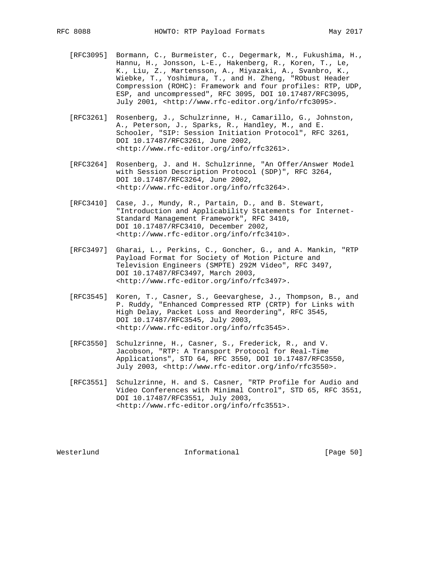- [RFC3095] Bormann, C., Burmeister, C., Degermark, M., Fukushima, H., Hannu, H., Jonsson, L-E., Hakenberg, R., Koren, T., Le, K., Liu, Z., Martensson, A., Miyazaki, A., Svanbro, K., Wiebke, T., Yoshimura, T., and H. Zheng, "RObust Header Compression (ROHC): Framework and four profiles: RTP, UDP, ESP, and uncompressed", RFC 3095, DOI 10.17487/RFC3095, July 2001, <http://www.rfc-editor.org/info/rfc3095>.
- [RFC3261] Rosenberg, J., Schulzrinne, H., Camarillo, G., Johnston, A., Peterson, J., Sparks, R., Handley, M., and E. Schooler, "SIP: Session Initiation Protocol", RFC 3261, DOI 10.17487/RFC3261, June 2002, <http://www.rfc-editor.org/info/rfc3261>.
- [RFC3264] Rosenberg, J. and H. Schulzrinne, "An Offer/Answer Model with Session Description Protocol (SDP)", RFC 3264, DOI 10.17487/RFC3264, June 2002, <http://www.rfc-editor.org/info/rfc3264>.
- [RFC3410] Case, J., Mundy, R., Partain, D., and B. Stewart, "Introduction and Applicability Statements for Internet- Standard Management Framework", RFC 3410, DOI 10.17487/RFC3410, December 2002, <http://www.rfc-editor.org/info/rfc3410>.
- [RFC3497] Gharai, L., Perkins, C., Goncher, G., and A. Mankin, "RTP Payload Format for Society of Motion Picture and Television Engineers (SMPTE) 292M Video", RFC 3497, DOI 10.17487/RFC3497, March 2003, <http://www.rfc-editor.org/info/rfc3497>.
- [RFC3545] Koren, T., Casner, S., Geevarghese, J., Thompson, B., and P. Ruddy, "Enhanced Compressed RTP (CRTP) for Links with High Delay, Packet Loss and Reordering", RFC 3545, DOI 10.17487/RFC3545, July 2003, <http://www.rfc-editor.org/info/rfc3545>.
- [RFC3550] Schulzrinne, H., Casner, S., Frederick, R., and V. Jacobson, "RTP: A Transport Protocol for Real-Time Applications", STD 64, RFC 3550, DOI 10.17487/RFC3550, July 2003, <http://www.rfc-editor.org/info/rfc3550>.
- [RFC3551] Schulzrinne, H. and S. Casner, "RTP Profile for Audio and Video Conferences with Minimal Control", STD 65, RFC 3551, DOI 10.17487/RFC3551, July 2003, <http://www.rfc-editor.org/info/rfc3551>.

Westerlund Informational [Page 50]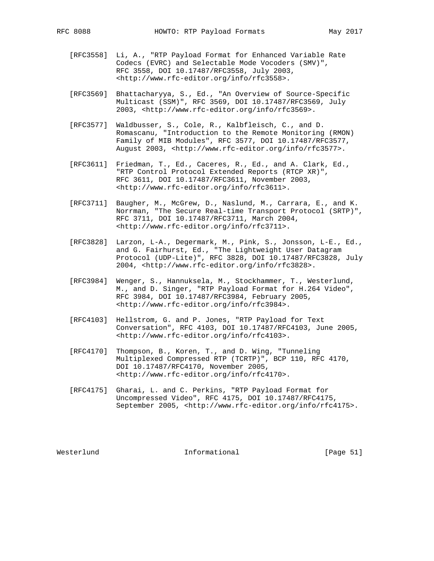- [RFC3558] Li, A., "RTP Payload Format for Enhanced Variable Rate Codecs (EVRC) and Selectable Mode Vocoders (SMV)", RFC 3558, DOI 10.17487/RFC3558, July 2003, <http://www.rfc-editor.org/info/rfc3558>.
- [RFC3569] Bhattacharyya, S., Ed., "An Overview of Source-Specific Multicast (SSM)", RFC 3569, DOI 10.17487/RFC3569, July 2003, <http://www.rfc-editor.org/info/rfc3569>.
- [RFC3577] Waldbusser, S., Cole, R., Kalbfleisch, C., and D. Romascanu, "Introduction to the Remote Monitoring (RMON) Family of MIB Modules", RFC 3577, DOI 10.17487/RFC3577, August 2003, <http://www.rfc-editor.org/info/rfc3577>.
- [RFC3611] Friedman, T., Ed., Caceres, R., Ed., and A. Clark, Ed., "RTP Control Protocol Extended Reports (RTCP XR)", RFC 3611, DOI 10.17487/RFC3611, November 2003, <http://www.rfc-editor.org/info/rfc3611>.
- [RFC3711] Baugher, M., McGrew, D., Naslund, M., Carrara, E., and K. Norrman, "The Secure Real-time Transport Protocol (SRTP)", RFC 3711, DOI 10.17487/RFC3711, March 2004, <http://www.rfc-editor.org/info/rfc3711>.
- [RFC3828] Larzon, L-A., Degermark, M., Pink, S., Jonsson, L-E., Ed., and G. Fairhurst, Ed., "The Lightweight User Datagram Protocol (UDP-Lite)", RFC 3828, DOI 10.17487/RFC3828, July 2004, <http://www.rfc-editor.org/info/rfc3828>.
- [RFC3984] Wenger, S., Hannuksela, M., Stockhammer, T., Westerlund, M., and D. Singer, "RTP Payload Format for H.264 Video", RFC 3984, DOI 10.17487/RFC3984, February 2005, <http://www.rfc-editor.org/info/rfc3984>.
- [RFC4103] Hellstrom, G. and P. Jones, "RTP Payload for Text Conversation", RFC 4103, DOI 10.17487/RFC4103, June 2005, <http://www.rfc-editor.org/info/rfc4103>.
- [RFC4170] Thompson, B., Koren, T., and D. Wing, "Tunneling Multiplexed Compressed RTP (TCRTP)", BCP 110, RFC 4170, DOI 10.17487/RFC4170, November 2005, <http://www.rfc-editor.org/info/rfc4170>.
- [RFC4175] Gharai, L. and C. Perkins, "RTP Payload Format for Uncompressed Video", RFC 4175, DOI 10.17487/RFC4175, September 2005, <http://www.rfc-editor.org/info/rfc4175>.

Westerlund Informational [Page 51]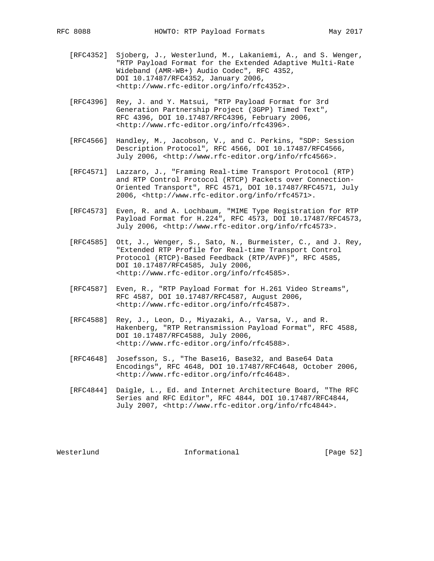- [RFC4352] Sjoberg, J., Westerlund, M., Lakaniemi, A., and S. Wenger, "RTP Payload Format for the Extended Adaptive Multi-Rate Wideband (AMR-WB+) Audio Codec", RFC 4352, DOI 10.17487/RFC4352, January 2006, <http://www.rfc-editor.org/info/rfc4352>.
- [RFC4396] Rey, J. and Y. Matsui, "RTP Payload Format for 3rd Generation Partnership Project (3GPP) Timed Text", RFC 4396, DOI 10.17487/RFC4396, February 2006, <http://www.rfc-editor.org/info/rfc4396>.
- [RFC4566] Handley, M., Jacobson, V., and C. Perkins, "SDP: Session Description Protocol", RFC 4566, DOI 10.17487/RFC4566, July 2006, <http://www.rfc-editor.org/info/rfc4566>.
- [RFC4571] Lazzaro, J., "Framing Real-time Transport Protocol (RTP) and RTP Control Protocol (RTCP) Packets over Connection- Oriented Transport", RFC 4571, DOI 10.17487/RFC4571, July 2006, <http://www.rfc-editor.org/info/rfc4571>.
- [RFC4573] Even, R. and A. Lochbaum, "MIME Type Registration for RTP Payload Format for H.224", RFC 4573, DOI 10.17487/RFC4573, July 2006, <http://www.rfc-editor.org/info/rfc4573>.
- [RFC4585] Ott, J., Wenger, S., Sato, N., Burmeister, C., and J. Rey, "Extended RTP Profile for Real-time Transport Control Protocol (RTCP)-Based Feedback (RTP/AVPF)", RFC 4585, DOI 10.17487/RFC4585, July 2006, <http://www.rfc-editor.org/info/rfc4585>.
- [RFC4587] Even, R., "RTP Payload Format for H.261 Video Streams", RFC 4587, DOI 10.17487/RFC4587, August 2006, <http://www.rfc-editor.org/info/rfc4587>.
- [RFC4588] Rey, J., Leon, D., Miyazaki, A., Varsa, V., and R. Hakenberg, "RTP Retransmission Payload Format", RFC 4588, DOI 10.17487/RFC4588, July 2006, <http://www.rfc-editor.org/info/rfc4588>.
- [RFC4648] Josefsson, S., "The Base16, Base32, and Base64 Data Encodings", RFC 4648, DOI 10.17487/RFC4648, October 2006, <http://www.rfc-editor.org/info/rfc4648>.
- [RFC4844] Daigle, L., Ed. and Internet Architecture Board, "The RFC Series and RFC Editor", RFC 4844, DOI 10.17487/RFC4844, July 2007, <http://www.rfc-editor.org/info/rfc4844>.

Westerlund Informational [Page 52]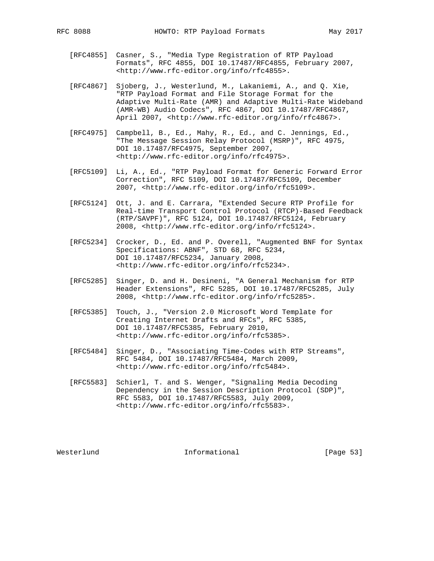- [RFC4855] Casner, S., "Media Type Registration of RTP Payload Formats", RFC 4855, DOI 10.17487/RFC4855, February 2007, <http://www.rfc-editor.org/info/rfc4855>.
- [RFC4867] Sjoberg, J., Westerlund, M., Lakaniemi, A., and Q. Xie, "RTP Payload Format and File Storage Format for the Adaptive Multi-Rate (AMR) and Adaptive Multi-Rate Wideband (AMR-WB) Audio Codecs", RFC 4867, DOI 10.17487/RFC4867, April 2007, <http://www.rfc-editor.org/info/rfc4867>.
- [RFC4975] Campbell, B., Ed., Mahy, R., Ed., and C. Jennings, Ed., "The Message Session Relay Protocol (MSRP)", RFC 4975, DOI 10.17487/RFC4975, September 2007, <http://www.rfc-editor.org/info/rfc4975>.
- [RFC5109] Li, A., Ed., "RTP Payload Format for Generic Forward Error Correction", RFC 5109, DOI 10.17487/RFC5109, December 2007, <http://www.rfc-editor.org/info/rfc5109>.
- [RFC5124] Ott, J. and E. Carrara, "Extended Secure RTP Profile for Real-time Transport Control Protocol (RTCP)-Based Feedback (RTP/SAVPF)", RFC 5124, DOI 10.17487/RFC5124, February 2008, <http://www.rfc-editor.org/info/rfc5124>.
- [RFC5234] Crocker, D., Ed. and P. Overell, "Augmented BNF for Syntax Specifications: ABNF", STD 68, RFC 5234, DOI 10.17487/RFC5234, January 2008, <http://www.rfc-editor.org/info/rfc5234>.
	- [RFC5285] Singer, D. and H. Desineni, "A General Mechanism for RTP Header Extensions", RFC 5285, DOI 10.17487/RFC5285, July 2008, <http://www.rfc-editor.org/info/rfc5285>.
	- [RFC5385] Touch, J., "Version 2.0 Microsoft Word Template for Creating Internet Drafts and RFCs", RFC 5385, DOI 10.17487/RFC5385, February 2010, <http://www.rfc-editor.org/info/rfc5385>.
	- [RFC5484] Singer, D., "Associating Time-Codes with RTP Streams", RFC 5484, DOI 10.17487/RFC5484, March 2009, <http://www.rfc-editor.org/info/rfc5484>.
	- [RFC5583] Schierl, T. and S. Wenger, "Signaling Media Decoding Dependency in the Session Description Protocol (SDP)", RFC 5583, DOI 10.17487/RFC5583, July 2009, <http://www.rfc-editor.org/info/rfc5583>.

Westerlund Informational [Page 53]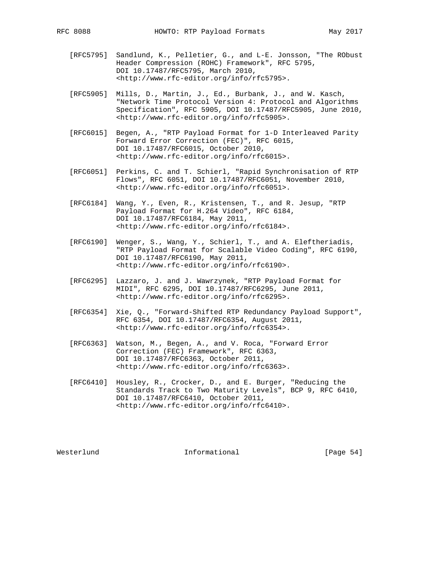- [RFC5795] Sandlund, K., Pelletier, G., and L-E. Jonsson, "The RObust Header Compression (ROHC) Framework", RFC 5795, DOI 10.17487/RFC5795, March 2010, <http://www.rfc-editor.org/info/rfc5795>.
- [RFC5905] Mills, D., Martin, J., Ed., Burbank, J., and W. Kasch, "Network Time Protocol Version 4: Protocol and Algorithms Specification", RFC 5905, DOI 10.17487/RFC5905, June 2010, <http://www.rfc-editor.org/info/rfc5905>.
- [RFC6015] Begen, A., "RTP Payload Format for 1-D Interleaved Parity Forward Error Correction (FEC)", RFC 6015, DOI 10.17487/RFC6015, October 2010, <http://www.rfc-editor.org/info/rfc6015>.
- [RFC6051] Perkins, C. and T. Schierl, "Rapid Synchronisation of RTP Flows", RFC 6051, DOI 10.17487/RFC6051, November 2010, <http://www.rfc-editor.org/info/rfc6051>.
- [RFC6184] Wang, Y., Even, R., Kristensen, T., and R. Jesup, "RTP Payload Format for H.264 Video", RFC 6184, DOI 10.17487/RFC6184, May 2011, <http://www.rfc-editor.org/info/rfc6184>.
- [RFC6190] Wenger, S., Wang, Y., Schierl, T., and A. Eleftheriadis, "RTP Payload Format for Scalable Video Coding", RFC 6190, DOI 10.17487/RFC6190, May 2011, <http://www.rfc-editor.org/info/rfc6190>.
- [RFC6295] Lazzaro, J. and J. Wawrzynek, "RTP Payload Format for MIDI", RFC 6295, DOI 10.17487/RFC6295, June 2011, <http://www.rfc-editor.org/info/rfc6295>.
- [RFC6354] Xie, Q., "Forward-Shifted RTP Redundancy Payload Support", RFC 6354, DOI 10.17487/RFC6354, August 2011, <http://www.rfc-editor.org/info/rfc6354>.
- [RFC6363] Watson, M., Begen, A., and V. Roca, "Forward Error Correction (FEC) Framework", RFC 6363, DOI 10.17487/RFC6363, October 2011, <http://www.rfc-editor.org/info/rfc6363>.
- [RFC6410] Housley, R., Crocker, D., and E. Burger, "Reducing the Standards Track to Two Maturity Levels", BCP 9, RFC 6410, DOI 10.17487/RFC6410, October 2011, <http://www.rfc-editor.org/info/rfc6410>.

Westerlund Informational [Page 54]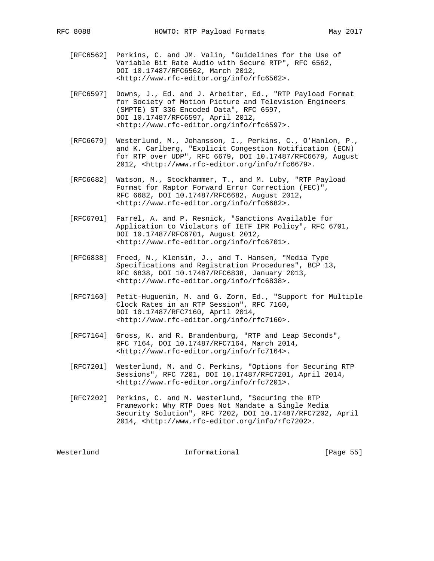- [RFC6562] Perkins, C. and JM. Valin, "Guidelines for the Use of Variable Bit Rate Audio with Secure RTP", RFC 6562, DOI 10.17487/RFC6562, March 2012, <http://www.rfc-editor.org/info/rfc6562>.
- [RFC6597] Downs, J., Ed. and J. Arbeiter, Ed., "RTP Payload Format for Society of Motion Picture and Television Engineers (SMPTE) ST 336 Encoded Data", RFC 6597, DOI 10.17487/RFC6597, April 2012, <http://www.rfc-editor.org/info/rfc6597>.
- [RFC6679] Westerlund, M., Johansson, I., Perkins, C., O'Hanlon, P., and K. Carlberg, "Explicit Congestion Notification (ECN) for RTP over UDP", RFC 6679, DOI 10.17487/RFC6679, August 2012, <http://www.rfc-editor.org/info/rfc6679>.
- [RFC6682] Watson, M., Stockhammer, T., and M. Luby, "RTP Payload Format for Raptor Forward Error Correction (FEC)", RFC 6682, DOI 10.17487/RFC6682, August 2012, <http://www.rfc-editor.org/info/rfc6682>.
- [RFC6701] Farrel, A. and P. Resnick, "Sanctions Available for Application to Violators of IETF IPR Policy", RFC 6701, DOI 10.17487/RFC6701, August 2012, <http://www.rfc-editor.org/info/rfc6701>.
- [RFC6838] Freed, N., Klensin, J., and T. Hansen, "Media Type Specifications and Registration Procedures", BCP 13, RFC 6838, DOI 10.17487/RFC6838, January 2013, <http://www.rfc-editor.org/info/rfc6838>.
- [RFC7160] Petit-Huguenin, M. and G. Zorn, Ed., "Support for Multiple Clock Rates in an RTP Session", RFC 7160, DOI 10.17487/RFC7160, April 2014, <http://www.rfc-editor.org/info/rfc7160>.
- [RFC7164] Gross, K. and R. Brandenburg, "RTP and Leap Seconds", RFC 7164, DOI 10.17487/RFC7164, March 2014, <http://www.rfc-editor.org/info/rfc7164>.
- [RFC7201] Westerlund, M. and C. Perkins, "Options for Securing RTP Sessions", RFC 7201, DOI 10.17487/RFC7201, April 2014, <http://www.rfc-editor.org/info/rfc7201>.
- [RFC7202] Perkins, C. and M. Westerlund, "Securing the RTP Framework: Why RTP Does Not Mandate a Single Media Security Solution", RFC 7202, DOI 10.17487/RFC7202, April 2014, <http://www.rfc-editor.org/info/rfc7202>.

Westerlund Informational [Page 55]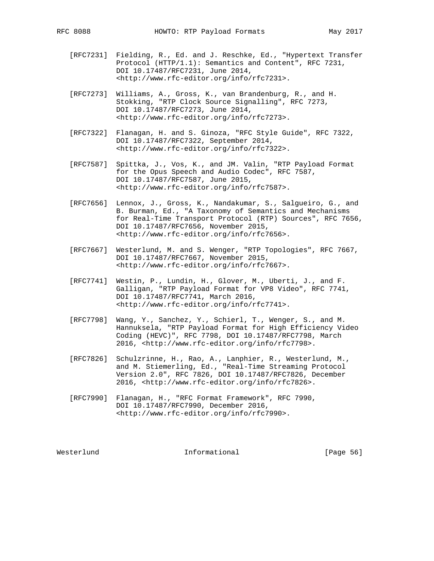- [RFC7231] Fielding, R., Ed. and J. Reschke, Ed., "Hypertext Transfer Protocol (HTTP/1.1): Semantics and Content", RFC 7231, DOI 10.17487/RFC7231, June 2014, <http://www.rfc-editor.org/info/rfc7231>.
- [RFC7273] Williams, A., Gross, K., van Brandenburg, R., and H. Stokking, "RTP Clock Source Signalling", RFC 7273, DOI 10.17487/RFC7273, June 2014, <http://www.rfc-editor.org/info/rfc7273>.
- [RFC7322] Flanagan, H. and S. Ginoza, "RFC Style Guide", RFC 7322, DOI 10.17487/RFC7322, September 2014, <http://www.rfc-editor.org/info/rfc7322>.
- [RFC7587] Spittka, J., Vos, K., and JM. Valin, "RTP Payload Format for the Opus Speech and Audio Codec", RFC 7587, DOI 10.17487/RFC7587, June 2015, <http://www.rfc-editor.org/info/rfc7587>.
- [RFC7656] Lennox, J., Gross, K., Nandakumar, S., Salgueiro, G., and B. Burman, Ed., "A Taxonomy of Semantics and Mechanisms for Real-Time Transport Protocol (RTP) Sources", RFC 7656, DOI 10.17487/RFC7656, November 2015, <http://www.rfc-editor.org/info/rfc7656>.
- [RFC7667] Westerlund, M. and S. Wenger, "RTP Topologies", RFC 7667, DOI 10.17487/RFC7667, November 2015, <http://www.rfc-editor.org/info/rfc7667>.
- [RFC7741] Westin, P., Lundin, H., Glover, M., Uberti, J., and F. Galligan, "RTP Payload Format for VP8 Video", RFC 7741, DOI 10.17487/RFC7741, March 2016, <http://www.rfc-editor.org/info/rfc7741>.
- [RFC7798] Wang, Y., Sanchez, Y., Schierl, T., Wenger, S., and M. Hannuksela, "RTP Payload Format for High Efficiency Video Coding (HEVC)", RFC 7798, DOI 10.17487/RFC7798, March 2016, <http://www.rfc-editor.org/info/rfc7798>.
- [RFC7826] Schulzrinne, H., Rao, A., Lanphier, R., Westerlund, M., and M. Stiemerling, Ed., "Real-Time Streaming Protocol Version 2.0", RFC 7826, DOI 10.17487/RFC7826, December 2016, <http://www.rfc-editor.org/info/rfc7826>.
- [RFC7990] Flanagan, H., "RFC Format Framework", RFC 7990, DOI 10.17487/RFC7990, December 2016, <http://www.rfc-editor.org/info/rfc7990>.

Westerlund Informational [Page 56]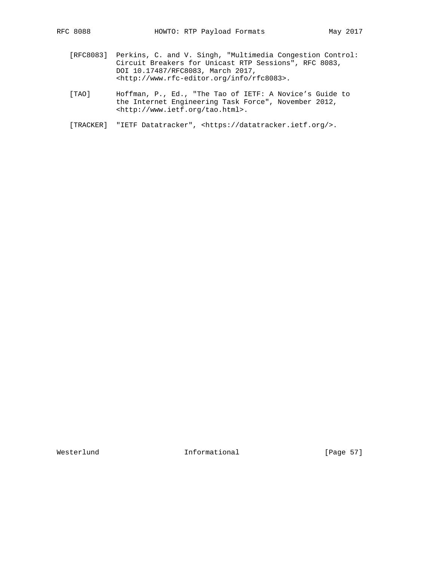- [RFC8083] Perkins, C. and V. Singh, "Multimedia Congestion Control: Circuit Breakers for Unicast RTP Sessions", RFC 8083, DOI 10.17487/RFC8083, March 2017, <http://www.rfc-editor.org/info/rfc8083>.
- [TAO] Hoffman, P., Ed., "The Tao of IETF: A Novice's Guide to the Internet Engineering Task Force", November 2012, <http://www.ietf.org/tao.html>.
- [TRACKER] "IETF Datatracker", <https://datatracker.ietf.org/>.

Westerlund Informational [Page 57]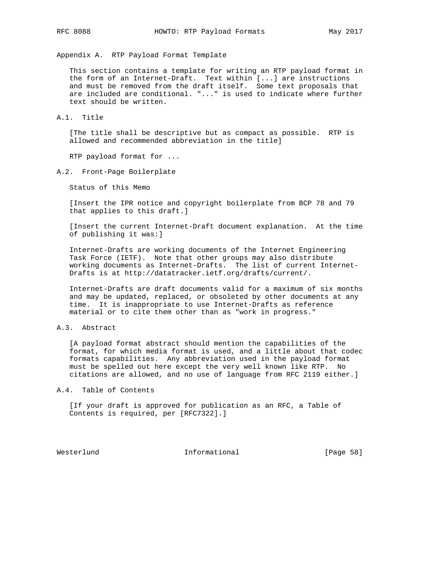Appendix A. RTP Payload Format Template

 This section contains a template for writing an RTP payload format in the form of an Internet-Draft. Text within [...] are instructions and must be removed from the draft itself. Some text proposals that are included are conditional. "..." is used to indicate where further text should be written.

A.1. Title

 [The title shall be descriptive but as compact as possible. RTP is allowed and recommended abbreviation in the title]

RTP payload format for ...

A.2. Front-Page Boilerplate

Status of this Memo

 [Insert the IPR notice and copyright boilerplate from BCP 78 and 79 that applies to this draft.]

 [Insert the current Internet-Draft document explanation. At the time of publishing it was:]

 Internet-Drafts are working documents of the Internet Engineering Task Force (IETF). Note that other groups may also distribute working documents as Internet-Drafts. The list of current Internet- Drafts is at http://datatracker.ietf.org/drafts/current/.

 Internet-Drafts are draft documents valid for a maximum of six months and may be updated, replaced, or obsoleted by other documents at any time. It is inappropriate to use Internet-Drafts as reference material or to cite them other than as "work in progress."

A.3. Abstract

 [A payload format abstract should mention the capabilities of the format, for which media format is used, and a little about that codec formats capabilities. Any abbreviation used in the payload format must be spelled out here except the very well known like RTP. No citations are allowed, and no use of language from RFC 2119 either.]

A.4. Table of Contents

 [If your draft is approved for publication as an RFC, a Table of Contents is required, per [RFC7322].]

Westerlund Informational [Page 58]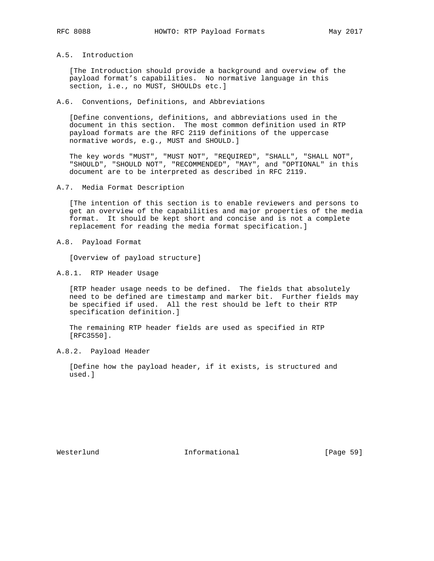## A.5. Introduction

 [The Introduction should provide a background and overview of the payload format's capabilities. No normative language in this section, i.e., no MUST, SHOULDs etc.]

### A.6. Conventions, Definitions, and Abbreviations

 [Define conventions, definitions, and abbreviations used in the document in this section. The most common definition used in RTP payload formats are the RFC 2119 definitions of the uppercase normative words, e.g., MUST and SHOULD.]

 The key words "MUST", "MUST NOT", "REQUIRED", "SHALL", "SHALL NOT", "SHOULD", "SHOULD NOT", "RECOMMENDED", "MAY", and "OPTIONAL" in this document are to be interpreted as described in RFC 2119.

#### A.7. Media Format Description

 [The intention of this section is to enable reviewers and persons to get an overview of the capabilities and major properties of the media format. It should be kept short and concise and is not a complete replacement for reading the media format specification.]

A.8. Payload Format

[Overview of payload structure]

A.8.1. RTP Header Usage

 [RTP header usage needs to be defined. The fields that absolutely need to be defined are timestamp and marker bit. Further fields may be specified if used. All the rest should be left to their RTP specification definition.]

 The remaining RTP header fields are used as specified in RTP [RFC3550].

A.8.2. Payload Header

 [Define how the payload header, if it exists, is structured and used.]

Westerlund Informational [Page 59]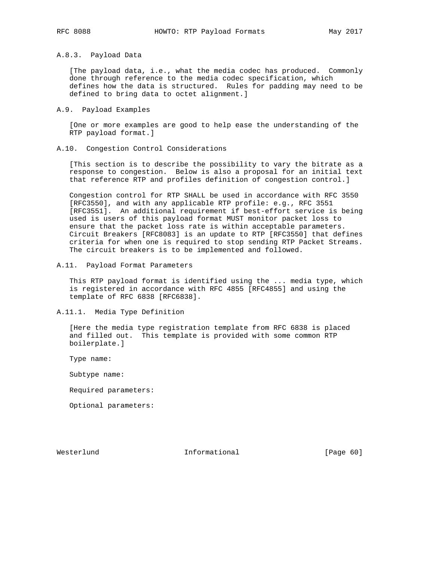#### A.8.3. Payload Data

 [The payload data, i.e., what the media codec has produced. Commonly done through reference to the media codec specification, which defines how the data is structured. Rules for padding may need to be defined to bring data to octet alignment.]

#### A.9. Payload Examples

 [One or more examples are good to help ease the understanding of the RTP payload format.]

## A.10. Congestion Control Considerations

 [This section is to describe the possibility to vary the bitrate as a response to congestion. Below is also a proposal for an initial text that reference RTP and profiles definition of congestion control.]

 Congestion control for RTP SHALL be used in accordance with RFC 3550 [RFC3550], and with any applicable RTP profile: e.g., RFC 3551 [RFC3551]. An additional requirement if best-effort service is being used is users of this payload format MUST monitor packet loss to ensure that the packet loss rate is within acceptable parameters. Circuit Breakers [RFC8083] is an update to RTP [RFC3550] that defines criteria for when one is required to stop sending RTP Packet Streams. The circuit breakers is to be implemented and followed.

A.11. Payload Format Parameters

 This RTP payload format is identified using the ... media type, which is registered in accordance with RFC 4855 [RFC4855] and using the template of RFC 6838 [RFC6838].

A.11.1. Media Type Definition

 [Here the media type registration template from RFC 6838 is placed and filled out. This template is provided with some common RTP boilerplate.]

Type name:

Subtype name:

Required parameters:

Optional parameters:

Westerlund Informational [Page 60]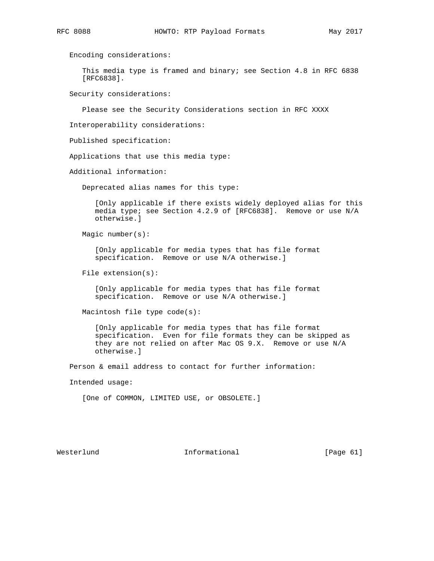Encoding considerations:

 This media type is framed and binary; see Section 4.8 in RFC 6838 [RFC6838].

Security considerations:

Please see the Security Considerations section in RFC XXXX

Interoperability considerations:

Published specification:

Applications that use this media type:

Additional information:

Deprecated alias names for this type:

 [Only applicable if there exists widely deployed alias for this media type; see Section 4.2.9 of [RFC6838]. Remove or use N/A otherwise.]

Magic number(s):

 [Only applicable for media types that has file format specification. Remove or use N/A otherwise.]

File extension(s):

 [Only applicable for media types that has file format specification. Remove or use N/A otherwise.]

Macintosh file type code(s):

 [Only applicable for media types that has file format specification. Even for file formats they can be skipped as they are not relied on after Mac OS 9.X. Remove or use N/A otherwise.]

Person & email address to contact for further information:

Intended usage:

[One of COMMON, LIMITED USE, or OBSOLETE.]

Westerlund Informational [Page 61]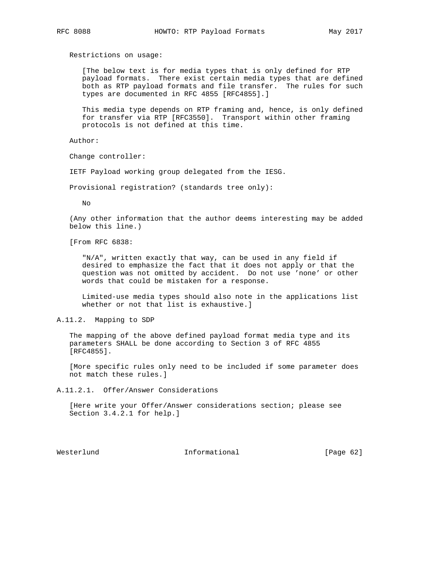Restrictions on usage:

 [The below text is for media types that is only defined for RTP payload formats. There exist certain media types that are defined both as RTP payload formats and file transfer. The rules for such types are documented in RFC 4855 [RFC4855].]

 This media type depends on RTP framing and, hence, is only defined for transfer via RTP [RFC3550]. Transport within other framing protocols is not defined at this time.

Author:

Change controller:

IETF Payload working group delegated from the IESG.

Provisional registration? (standards tree only):

No

 (Any other information that the author deems interesting may be added below this line.)

[From RFC 6838:

 "N/A", written exactly that way, can be used in any field if desired to emphasize the fact that it does not apply or that the question was not omitted by accident. Do not use 'none' or other words that could be mistaken for a response.

 Limited-use media types should also note in the applications list whether or not that list is exhaustive.]

A.11.2. Mapping to SDP

 The mapping of the above defined payload format media type and its parameters SHALL be done according to Section 3 of RFC 4855 [RFC4855].

 [More specific rules only need to be included if some parameter does not match these rules.]

A.11.2.1. Offer/Answer Considerations

 [Here write your Offer/Answer considerations section; please see Section 3.4.2.1 for help.]

Westerlund Informational [Page 62]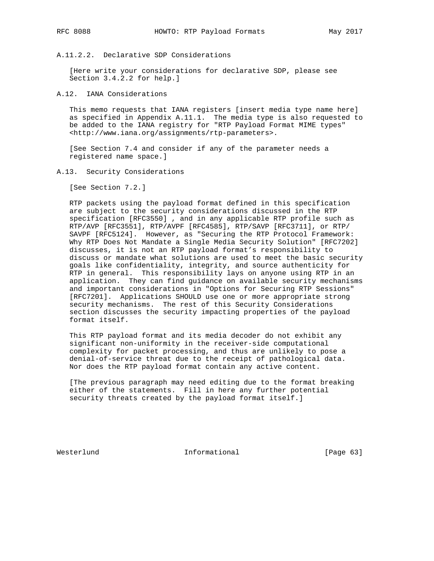#### A.11.2.2. Declarative SDP Considerations

 [Here write your considerations for declarative SDP, please see Section 3.4.2.2 for help.]

#### A.12. IANA Considerations

 This memo requests that IANA registers [insert media type name here] as specified in Appendix A.11.1. The media type is also requested to be added to the IANA registry for "RTP Payload Format MIME types" <http://www.iana.org/assignments/rtp-parameters>.

 [See Section 7.4 and consider if any of the parameter needs a registered name space.]

### A.13. Security Considerations

[See Section 7.2.]

 RTP packets using the payload format defined in this specification are subject to the security considerations discussed in the RTP specification [RFC3550] , and in any applicable RTP profile such as RTP/AVP [RFC3551], RTP/AVPF [RFC4585], RTP/SAVP [RFC3711], or RTP/ SAVPF [RFC5124]. However, as "Securing the RTP Protocol Framework: Why RTP Does Not Mandate a Single Media Security Solution" [RFC7202] discusses, it is not an RTP payload format's responsibility to discuss or mandate what solutions are used to meet the basic security goals like confidentiality, integrity, and source authenticity for RTP in general. This responsibility lays on anyone using RTP in an application. They can find guidance on available security mechanisms and important considerations in "Options for Securing RTP Sessions" [RFC7201]. Applications SHOULD use one or more appropriate strong security mechanisms. The rest of this Security Considerations section discusses the security impacting properties of the payload format itself.

 This RTP payload format and its media decoder do not exhibit any significant non-uniformity in the receiver-side computational complexity for packet processing, and thus are unlikely to pose a denial-of-service threat due to the receipt of pathological data. Nor does the RTP payload format contain any active content.

 [The previous paragraph may need editing due to the format breaking either of the statements. Fill in here any further potential security threats created by the payload format itself.]

Westerlund 1nformational [Page 63]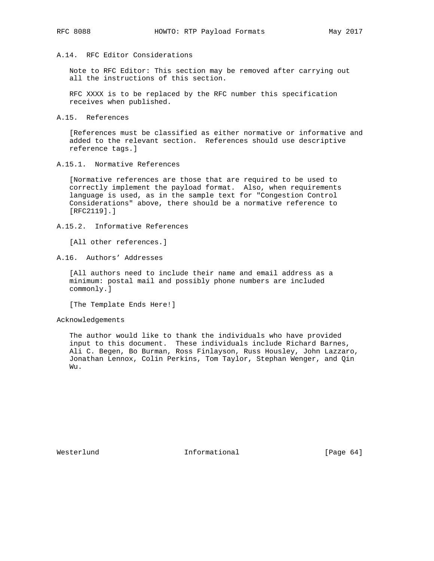## A.14. RFC Editor Considerations

 Note to RFC Editor: This section may be removed after carrying out all the instructions of this section.

 RFC XXXX is to be replaced by the RFC number this specification receives when published.

A.15. References

 [References must be classified as either normative or informative and added to the relevant section. References should use descriptive reference tags.]

A.15.1. Normative References

 [Normative references are those that are required to be used to correctly implement the payload format. Also, when requirements language is used, as in the sample text for "Congestion Control Considerations" above, there should be a normative reference to [RFC2119].]

A.15.2. Informative References

[All other references.]

A.16. Authors' Addresses

 [All authors need to include their name and email address as a minimum: postal mail and possibly phone numbers are included commonly.]

[The Template Ends Here!]

Acknowledgements

 The author would like to thank the individuals who have provided input to this document. These individuals include Richard Barnes, Ali C. Begen, Bo Burman, Ross Finlayson, Russ Housley, John Lazzaro, Jonathan Lennox, Colin Perkins, Tom Taylor, Stephan Wenger, and Qin Wu.

Westerlund Informational [Page 64]